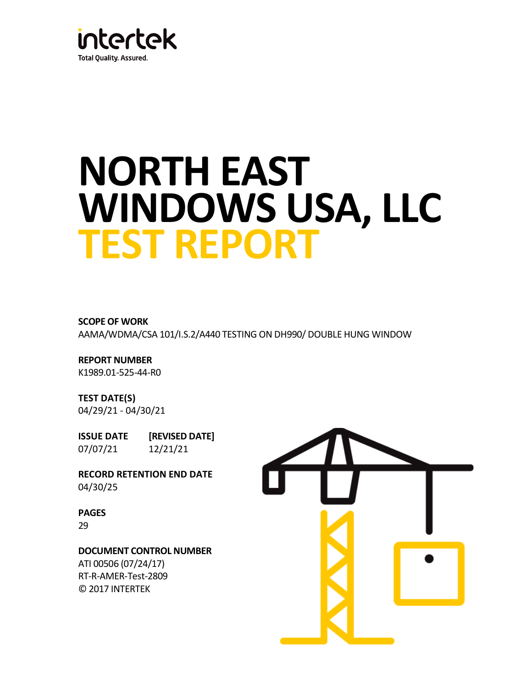

# **NORTH EAST WINDOWS USA, LLC TEST REPORT**

**SCOPE OF WORK** AAMA/WDMA/CSA 101/I.S.2/A440 TESTING ON DH990/ DOUBLE HUNG WINDOW

**REPORT NUMBER** K1989.01-525-44-R0

**TEST DATE(S)** 04/29/21 - 04/30/21

**ISSUE DATE [REVISED DATE]** 07/07/21 12/21/21

**RECORD RETENTION END DATE** 04/30/25

**PAGES** 29

**DOCUMENT CONTROL NUMBER**

ATI 00506 (07/24/17) RT-R-AMER-Test-2809 © 2017 INTERTEK

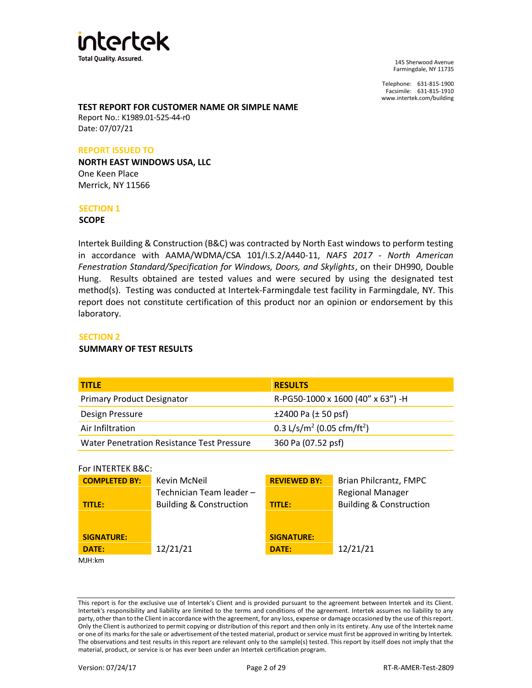

Telephone: 631-815-1900 Facsimile: 631-815-1910 www.intertek.com/building

#### **TEST REPORT FOR CUSTOMER NAME OR SIMPLE NAME**

Report No.: K1989.01-525-44-r0 Date: 07/07/21

#### **REPORT ISSUED TO**

**NORTH EAST WINDOWS USA, LLC** One Keen Place Merrick, NY 11566

#### **SECTION 1**

**SCOPE**

Intertek Building & Construction (B&C) was contracted by North East windows to perform testing in accordance with AAMA/WDMA/CSA 101/I.S.2/A440-11, *NAFS 2017 - North American Fenestration Standard/Specification for Windows, Doors, and Skylights*, on their DH990, Double Hung. Results obtained are tested values and were secured by using the designated test method(s). Testing was conducted at Intertek-Farmingdale test facility in Farmingdale, NY. This report does not constitute certification of this product nor an opinion or endorsement by this laboratory.

#### **SECTION 2**

#### **SUMMARY OF TEST RESULTS**

| <b>TITLE</b>                               | <b>RESULTS</b>                                     |
|--------------------------------------------|----------------------------------------------------|
| <b>Primary Product Designator</b>          | R-PG50-1000 x 1600 (40" x 63") -H                  |
| Design Pressure                            | $±2400$ Pa ( $±50$ psf)                            |
| Air Infiltration                           | 0.3 L/s/m <sup>2</sup> (0.05 cfm/ft <sup>2</sup> ) |
| Water Penetration Resistance Test Pressure | 360 Pa (07.52 psf)                                 |

#### For INTERTEK B&C:

| <b>COMPLETED BY:</b> | Kevin McNeil                       | <b>REVIEWED BY:</b> | Brian Philcrantz, FMPC             |
|----------------------|------------------------------------|---------------------|------------------------------------|
|                      | Technician Team leader-            |                     | <b>Regional Manager</b>            |
| TITLE:               | <b>Building &amp; Construction</b> | <b>TITLE:</b>       | <b>Building &amp; Construction</b> |
|                      |                                    |                     |                                    |
|                      |                                    |                     |                                    |
| <b>SIGNATURE:</b>    |                                    | <b>SIGNATURE:</b>   |                                    |
| DATE:                | 12/21/21                           | DATE:               | 12/21/21                           |
| MJH:km               |                                    |                     |                                    |

This report is for the exclusive use of Intertek's Client and is provided pursuant to the agreement between Intertek and its Client. Intertek's responsibility and liability are limited to the terms and conditions of the agreement. Intertek assumes no liability to any party, other than to the Client in accordance with the agreement, for any loss, expense or damage occasioned by the use of this report. Only the Client is authorized to permit copying or distribution of this report and then only in its entirety. Any use of the Intertek name or one of its marks for the sale or advertisement of the tested material, product or service must first be approved in writing by Intertek. The observations and test results in this report are relevant only to the sample(s) tested. This report by itself does not imply that the material, product, or service is or has ever been under an Intertek certification program.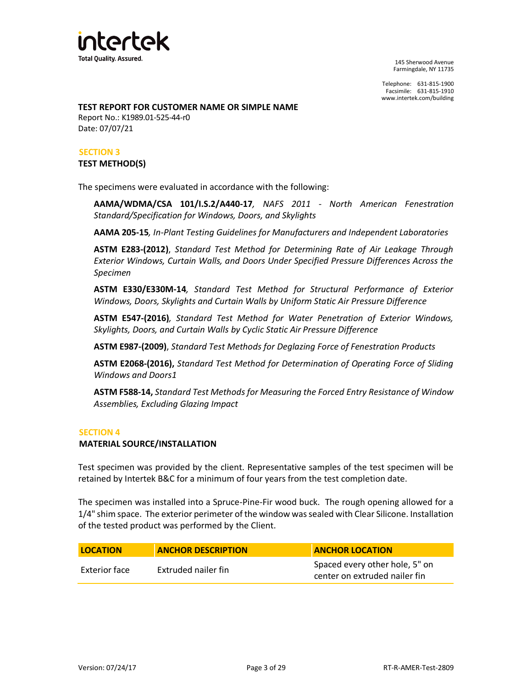

Telephone: 631-815-1900 Facsimile: 631-815-1910 www.intertek.com/building

#### **TEST REPORT FOR CUSTOMER NAME OR SIMPLE NAME**

Report No.: K1989.01-525-44-r0 Date: 07/07/21

## **SECTION 3**

#### **TEST METHOD(S)**

The specimens were evaluated in accordance with the following:

**AAMA/WDMA/CSA 101/I.S.2/A440-17***, NAFS 2011 - North American Fenestration Standard/Specification for Windows, Doors, and Skylights*

**AAMA 205-15***, In-Plant Testing Guidelines for Manufacturers and Independent Laboratories*

**ASTM E283-(2012)**, *Standard Test Method for Determining Rate of Air Leakage Through Exterior Windows, Curtain Walls, and Doors Under Specified Pressure Differences Across the Specimen*

**ASTM E330/E330M-14***, Standard Test Method for Structural Performance of Exterior Windows, Doors, Skylights and Curtain Walls by Uniform Static Air Pressure Difference*

**ASTM E547-(2016)***, Standard Test Method for Water Penetration of Exterior Windows, Skylights, Doors, and Curtain Walls by Cyclic Static Air Pressure Difference*

**ASTM E987-(2009)**, *Standard Test Methods for Deglazing Force of Fenestration Products*

**ASTM E2068-(2016),** *Standard Test Method for Determination of Operating Force of Sliding Windows and Door[s1](https://compass.astm.org/EDIT/html_annot.cgi?E2068+00(2016)#fn00001)*

**ASTM F588-14,** *Standard Test Methods for Measuring the Forced Entry Resistance of Window Assemblies, Excluding Glazing Impact*

#### **SECTION 4**

#### **MATERIAL SOURCE/INSTALLATION**

Test specimen was provided by the client. Representative samples of the test specimen will be retained by Intertek B&C for a minimum of four years from the test completion date.

The specimen was installed into a Spruce-Pine-Fir wood buck. The rough opening allowed for a 1/4" shim space. The exterior perimeter of the window was sealed with Clear Silicone. Installation of the tested product was performed by the Client.

| <b>LOCATION</b> | <b>ANCHOR DESCRIPTION</b> | <b>ANCHOR LOCATION</b>                                          |
|-----------------|---------------------------|-----------------------------------------------------------------|
| Exterior face   | Extruded nailer fin       | Spaced every other hole, 5" on<br>center on extruded nailer fin |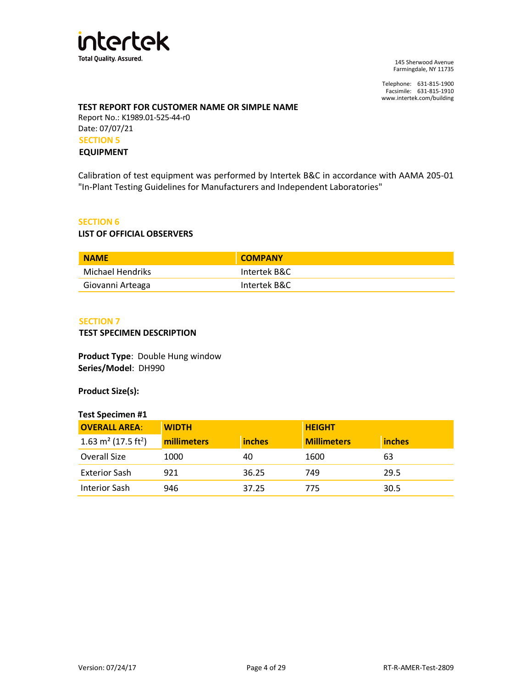

Telephone: 631-815-1900 Facsimile: 631-815-1910 www.intertek.com/building

## **TEST REPORT FOR CUSTOMER NAME OR SIMPLE NAME**

Report No.: K1989.01-525-44-r0 Date: 07/07/21 **SECTION 5**

#### **EQUIPMENT**

Calibration of test equipment was performed by Intertek B&C in accordance with AAMA 205-01 "In-Plant Testing Guidelines for Manufacturers and Independent Laboratories"

## **SECTION 6**

#### **LIST OF OFFICIAL OBSERVERS**

| <b>NAME</b>      | <b>COMPANY</b> |
|------------------|----------------|
| Michael Hendriks | Intertek B&C   |
| Giovanni Arteaga | Intertek B&C   |

#### **SECTION 7**

#### **TEST SPECIMEN DESCRIPTION**

**Product Type**: Double Hung window **Series/Model**: DH990

**Product Size(s):**

#### **Test Specimen #1**

| <b>OVERALL AREA:</b>                        | <b>WIDTH</b> |               | <b>HEIGHT</b>      |        |
|---------------------------------------------|--------------|---------------|--------------------|--------|
| 1.63 m <sup>2</sup> (17.5 ft <sup>2</sup> ) | millimeters  | <b>inches</b> | <b>Millimeters</b> | inches |
| Overall Size                                | 1000         | 40            | 1600               | 63     |
| <b>Exterior Sash</b>                        | 921          | 36.25         | 749                | 29.5   |
| Interior Sash                               | 946          | 37.25         | 775                | 30.5   |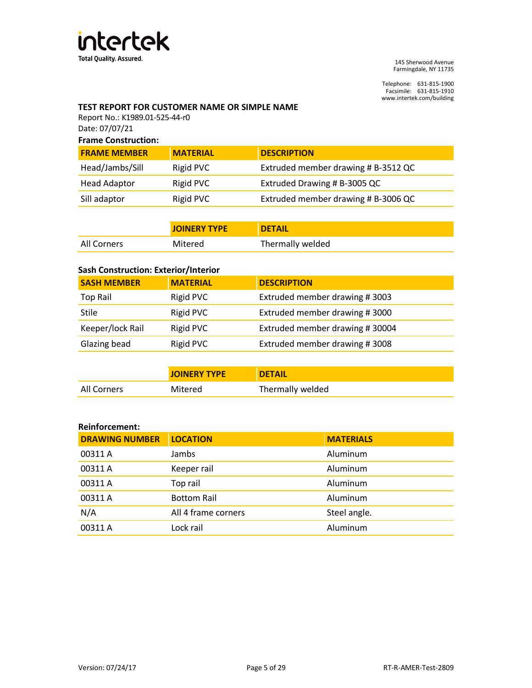

Telephone: 631-815-1900 Facsimile: 631-815-1910 www.intertek.com/building

## **TEST REPORT FOR CUSTOMER NAME OR SIMPLE NAME**

Report No.: K1989.01-525-44-r0 Date: 07/07/21

| <b>Frame Construction:</b> |                 |                                     |
|----------------------------|-----------------|-------------------------------------|
| <b>FRAME MEMBER</b>        | <b>MATERIAL</b> | <b>DESCRIPTION</b>                  |
| Head/Jambs/Sill            | Rigid PVC       | Extruded member drawing # B-3512 QC |
| <b>Head Adaptor</b>        | Rigid PVC       | Extruded Drawing # B-3005 QC        |

| Ticau Auaptul | <b>INGIUT VU</b> | $\frac{1}{2}$ coose of a set of a set of $\frac{1}{2}$ of $\frac{1}{2}$ of $\frac{1}{2}$ of $\frac{1}{2}$ of $\frac{1}{2}$ of $\frac{1}{2}$ of $\frac{1}{2}$ of $\frac{1}{2}$ of $\frac{1}{2}$ of $\frac{1}{2}$ of $\frac{1}{2}$ of $\frac{1}{2}$ of $\frac{1}{2}$ of $\frac{1}{2}$ of $\$ |
|---------------|------------------|--------------------------------------------------------------------------------------------------------------------------------------------------------------------------------------------------------------------------------------------------------------------------------------------|
| Sill adaptor  | Rigid PVC        | Extruded member drawing # B-3006 QC                                                                                                                                                                                                                                                        |
|               |                  |                                                                                                                                                                                                                                                                                            |

|             | <b>JOINERY TYPE</b> | <b>IDETAIL</b>   |
|-------------|---------------------|------------------|
| All Corners | Mitered             | Thermally welded |

# **Sash Construction: Exterior/Interior**

| <b>MATERIAL</b> | <b>DESCRIPTION</b>             |
|-----------------|--------------------------------|
| Rigid PVC       | Extruded member drawing #3003  |
| Rigid PVC       | Extruded member drawing #3000  |
| Rigid PVC       | Extruded member drawing #30004 |
| Rigid PVC       | Extruded member drawing #3008  |
|                 |                                |

|             | <b>JOINERY TYPE</b> | <b>DETAIL</b>    |
|-------------|---------------------|------------------|
| All Corners | Mitered             | Thermally welded |

#### **Reinforcement:**

| <b>DRAWING NUMBER</b> | <b>LOCATION</b>     | <b>MATERIALS</b> |
|-----------------------|---------------------|------------------|
| 00311 A               | Jambs               | Aluminum         |
| 00311 A               | Keeper rail         | Aluminum         |
| 00311 A               | Top rail            | Aluminum         |
| 00311 A               | <b>Bottom Rail</b>  | Aluminum         |
| N/A                   | All 4 frame corners | Steel angle.     |
| 00311 A               | Lock rail           | Aluminum         |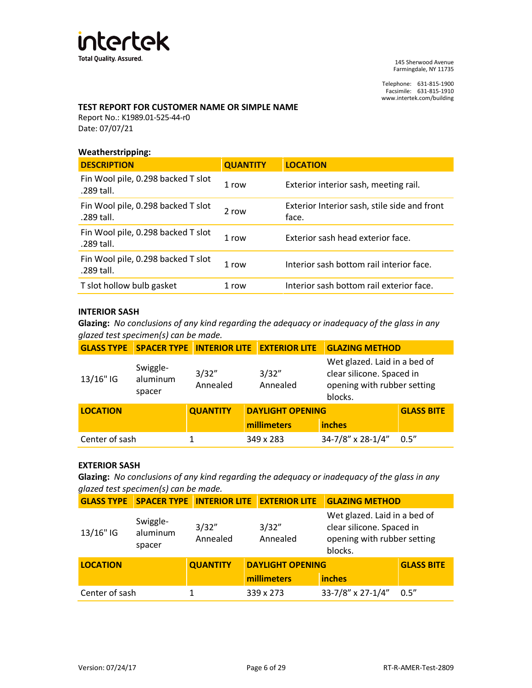

Telephone: 631-815-1900 Facsimile: 631-815-1910 www.intertek.com/building

## **TEST REPORT FOR CUSTOMER NAME OR SIMPLE NAME**

Report No.: K1989.01-525-44-r0 Date: 07/07/21

#### **Weatherstripping:**

| <b>DESCRIPTION</b>                               | <b>QUANTITY</b> | <b>LOCATION</b>                                       |
|--------------------------------------------------|-----------------|-------------------------------------------------------|
| Fin Wool pile, 0.298 backed T slot<br>.289 tall. | 1 row           | Exterior interior sash, meeting rail.                 |
| Fin Wool pile, 0.298 backed T slot<br>.289 tall. | 2 row           | Exterior Interior sash, stile side and front<br>face. |
| Fin Wool pile, 0.298 backed T slot<br>.289 tall. | 1 row           | Exterior sash head exterior face.                     |
| Fin Wool pile, 0.298 backed T slot<br>.289 tall. | 1 row           | Interior sash bottom rail interior face.              |
| T slot hollow bulb gasket                        | 1 row           | Interior sash bottom rail exterior face.              |

## **INTERIOR SASH**

**Glazing:** *No conclusions of any kind regarding the adequacy or inadequacy of the glass in any glazed test specimen(s) can be made.*

| <b>GLASS TYPE</b>                           | <b>SPACER TYPE INTERIOR LITE</b> |                                        | <b>EXTERIOR LITE</b>    | <b>GLAZING METHOD</b>                                                                               |                   |
|---------------------------------------------|----------------------------------|----------------------------------------|-------------------------|-----------------------------------------------------------------------------------------------------|-------------------|
| Swiggle-<br>aluminum<br>13/16" IG<br>spacer |                                  | 3/32"<br>3/32"<br>Annealed<br>Annealed |                         | Wet glazed. Laid in a bed of<br>clear silicone. Spaced in<br>opening with rubber setting<br>blocks. |                   |
| <b>LOCATION</b>                             |                                  | <b>QUANTITY</b>                        | <b>DAYLIGHT OPENING</b> |                                                                                                     | <b>GLASS BITE</b> |
|                                             |                                  |                                        | millimeters             | <b>inches</b>                                                                                       |                   |
| Center of sash                              |                                  |                                        | 349 x 283               | 34-7/8" x 28-1/4"                                                                                   | 0.5''             |

#### **EXTERIOR SASH**

**Glazing:** *No conclusions of any kind regarding the adequacy or inadequacy of the glass in any glazed test specimen(s) can be made.*

|                 | <b>GLASS TYPE SPACER TYPE</b>  |                   | <b>INTERIOR LITE EXTERIOR LITE</b> | <b>GLAZING METHOD</b>                                                                               |                   |
|-----------------|--------------------------------|-------------------|------------------------------------|-----------------------------------------------------------------------------------------------------|-------------------|
| 13/16" IG       | Swiggle-<br>aluminum<br>spacer | 3/32"<br>Annealed | 3/32"<br>Annealed                  | Wet glazed. Laid in a bed of<br>clear silicone. Spaced in<br>opening with rubber setting<br>blocks. |                   |
| <b>LOCATION</b> |                                | <b>QUANTITY</b>   | <b>DAYLIGHT OPENING</b>            |                                                                                                     | <b>GLASS BITE</b> |
|                 |                                |                   | millimeters                        | <b>inches</b>                                                                                       |                   |
| Center of sash  |                                |                   | 339 x 273                          | 33-7/8" x 27-1/4"                                                                                   | 0.5''             |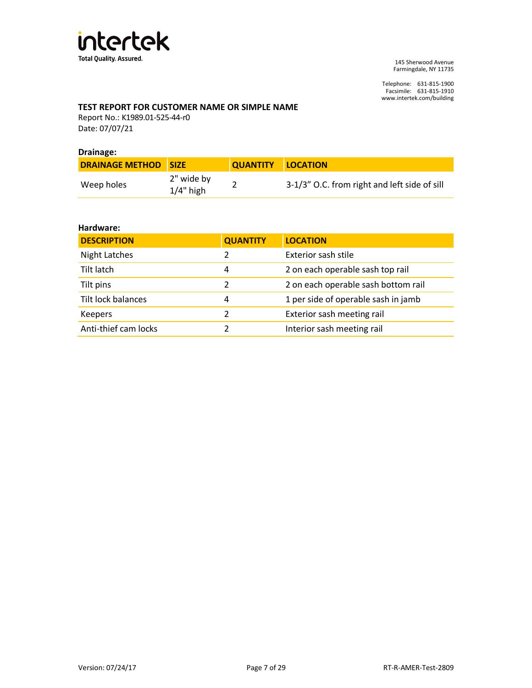

Telephone: 631-815-1900 Facsimile: 631-815-1910 www.intertek.com/building

## **TEST REPORT FOR CUSTOMER NAME OR SIMPLE NAME**

Report No.: K1989.01-525-44-r0 Date: 07/07/21

#### **Drainage:**

| <b>DRAINAGE METHOD SIZE</b> |                            | QUANTITY LOCATION |                                              |
|-----------------------------|----------------------------|-------------------|----------------------------------------------|
| Weep holes                  | 2" wide by<br>$1/4$ " high |                   | 3-1/3" O.C. from right and left side of sill |

#### **Hardware:**

| <b>DESCRIPTION</b>   | <b>QUANTITY</b> | <b>LOCATION</b>                     |
|----------------------|-----------------|-------------------------------------|
| <b>Night Latches</b> | 2               | Exterior sash stile                 |
| Tilt latch           | 4               | 2 on each operable sash top rail    |
| Tilt pins            |                 | 2 on each operable sash bottom rail |
| Tilt lock balances   | 4               | 1 per side of operable sash in jamb |
| <b>Keepers</b>       | 2               | Exterior sash meeting rail          |
| Anti-thief cam locks |                 | Interior sash meeting rail          |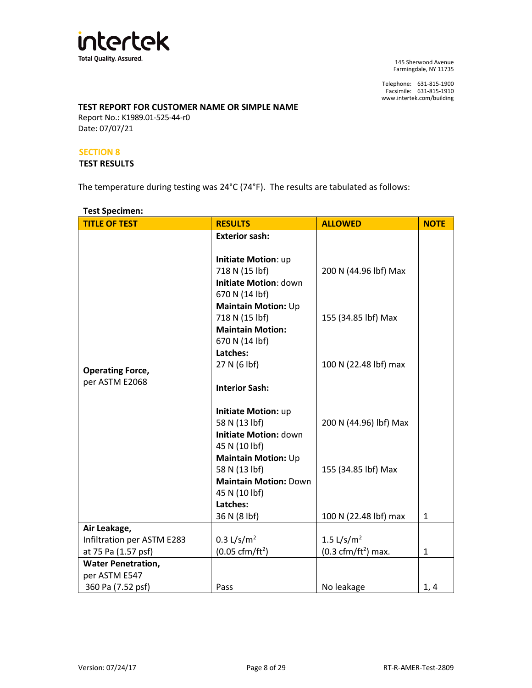

Telephone: 631-815-1900 Facsimile: 631-815-1910 www.intertek.com/building

## **TEST REPORT FOR CUSTOMER NAME OR SIMPLE NAME**

Report No.: K1989.01-525-44-r0 Date: 07/07/21

#### **SECTION 8**

#### **TEST RESULTS**

The temperature during testing was 24°C (74°F). The results are tabulated as follows:

## **Test Specimen:**

| <b>TITLE OF TEST</b>       | <b>RESULTS</b>               | <b>ALLOWED</b>                       | <b>NOTE</b>  |
|----------------------------|------------------------------|--------------------------------------|--------------|
|                            | <b>Exterior sash:</b>        |                                      |              |
|                            |                              |                                      |              |
|                            | Initiate Motion: up          |                                      |              |
|                            | 718 N (15 lbf)               | 200 N (44.96 lbf) Max                |              |
|                            | <b>Initiate Motion: down</b> |                                      |              |
|                            | 670 N (14 lbf)               |                                      |              |
|                            | <b>Maintain Motion: Up</b>   |                                      |              |
|                            | 718 N (15 lbf)               | 155 (34.85 lbf) Max                  |              |
|                            | <b>Maintain Motion:</b>      |                                      |              |
|                            | 670 N (14 lbf)               |                                      |              |
|                            | Latches:                     |                                      |              |
| <b>Operating Force,</b>    | 27 N (6 lbf)                 | 100 N (22.48 lbf) max                |              |
| per ASTM E2068             |                              |                                      |              |
|                            | <b>Interior Sash:</b>        |                                      |              |
|                            |                              |                                      |              |
|                            | <b>Initiate Motion: up</b>   |                                      |              |
|                            | 58 N (13 lbf)                | 200 N (44.96) lbf) Max               |              |
|                            | <b>Initiate Motion: down</b> |                                      |              |
|                            | 45 N (10 lbf)                |                                      |              |
|                            | <b>Maintain Motion: Up</b>   |                                      |              |
|                            | 58 N (13 lbf)                | 155 (34.85 lbf) Max                  |              |
|                            | <b>Maintain Motion: Down</b> |                                      |              |
|                            | 45 N (10 lbf)                |                                      |              |
|                            | Latches:                     |                                      |              |
|                            | 36 N (8 lbf)                 | 100 N (22.48 lbf) max                | $\mathbf{1}$ |
| Air Leakage,               |                              |                                      |              |
| Infiltration per ASTM E283 | 0.3 $L/s/m2$                 | 1.5 $L/s/m2$                         |              |
| at 75 Pa (1.57 psf)        | $(0.05 \text{ cfm/ft}^2)$    | $(0.3 \text{ cfm}/\text{ft}^2)$ max. | $\mathbf{1}$ |
| <b>Water Penetration,</b>  |                              |                                      |              |
| per ASTM E547              |                              |                                      |              |
| 360 Pa (7.52 psf)          | Pass                         | No leakage                           | 1, 4         |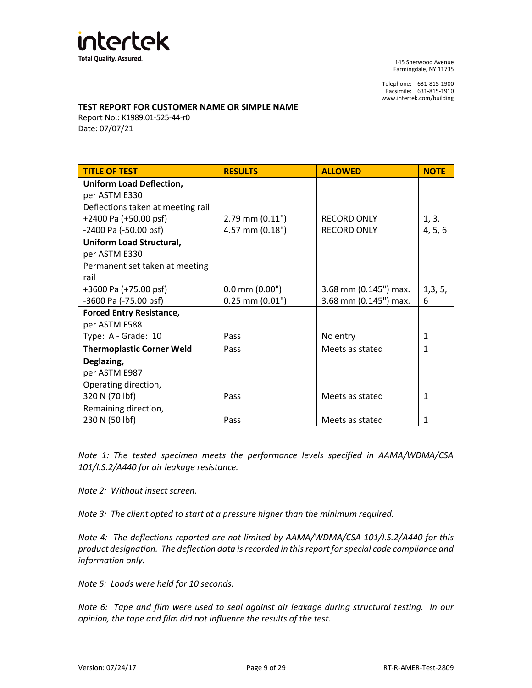

Telephone: 631-815-1900 Facsimile: 631-815-1910 www.intertek.com/building

#### **TEST REPORT FOR CUSTOMER NAME OR SIMPLE NAME**

Report No.: K1989.01-525-44-r0 Date: 07/07/21

| <b>TITLE OF TEST</b>              | <b>RESULTS</b>      | <b>ALLOWED</b>        | <b>NOTE</b>  |
|-----------------------------------|---------------------|-----------------------|--------------|
| <b>Uniform Load Deflection,</b>   |                     |                       |              |
| per ASTM E330                     |                     |                       |              |
| Deflections taken at meeting rail |                     |                       |              |
| +2400 Pa (+50.00 psf)             | $2.79$ mm $(0.11")$ | <b>RECORD ONLY</b>    | 1, 3,        |
| -2400 Pa (-50.00 psf)             | 4.57 mm (0.18")     | <b>RECORD ONLY</b>    | 4, 5, 6      |
| <b>Uniform Load Structural,</b>   |                     |                       |              |
| per ASTM E330                     |                     |                       |              |
| Permanent set taken at meeting    |                     |                       |              |
| rail                              |                     |                       |              |
| +3600 Pa (+75.00 psf)             | $0.0$ mm $(0.00")$  | 3.68 mm (0.145") max. |              |
| -3600 Pa (-75.00 psf)             | $0.25$ mm $(0.01")$ | 3.68 mm (0.145") max. | 6            |
| <b>Forced Entry Resistance,</b>   |                     |                       |              |
| per ASTM F588                     |                     |                       |              |
| Type: A - Grade: 10               | Pass                | No entry              | 1            |
| <b>Thermoplastic Corner Weld</b>  | Pass                | Meets as stated       | 1            |
| Deglazing,                        |                     |                       |              |
| per ASTM E987                     |                     |                       |              |
| Operating direction,              |                     |                       |              |
| 320 N (70 lbf)                    | Pass                | Meets as stated       | $\mathbf{1}$ |
| Remaining direction,              |                     |                       |              |
| 230 N (50 lbf)                    | Pass                | Meets as stated       | 1            |

*Note 1: The tested specimen meets the performance levels specified in AAMA/WDMA/CSA 101/I.S.2/A440 for air leakage resistance.*

*Note 2: Without insect screen.*

*Note 3: The client opted to start at a pressure higher than the minimum required.* 

*Note 4: The deflections reported are not limited by AAMA/WDMA/CSA 101/I.S.2/A440 for this product designation. The deflection data is recorded in this report for special code compliance and information only.*

*Note 5: Loads were held for 10 seconds.*

*Note 6: Tape and film were used to seal against air leakage during structural testing. In our opinion, the tape and film did not influence the results of the test.*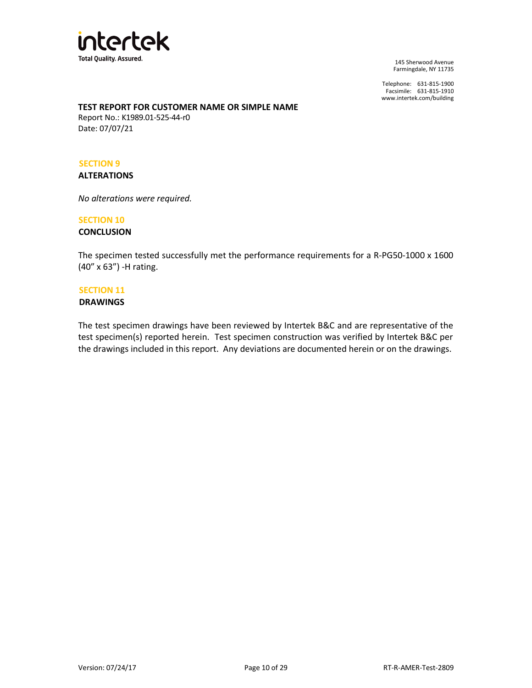

Telephone: 631-815-1900 Facsimile: 631-815-1910 www.intertek.com/building

## **TEST REPORT FOR CUSTOMER NAME OR SIMPLE NAME**

Report No.: K1989.01-525-44-r0 Date: 07/07/21

#### **SECTION 9**

**ALTERATIONS**

*No alterations were required.*

## **SECTION 10**

## **CONCLUSION**

The specimen tested successfully met the performance requirements for a R-PG50-1000 x 1600 (40" x 63") -H rating.

#### **SECTION 11**

#### **DRAWINGS**

The test specimen drawings have been reviewed by Intertek B&C and are representative of the test specimen(s) reported herein. Test specimen construction was verified by Intertek B&C per the drawings included in this report. Any deviations are documented herein or on the drawings.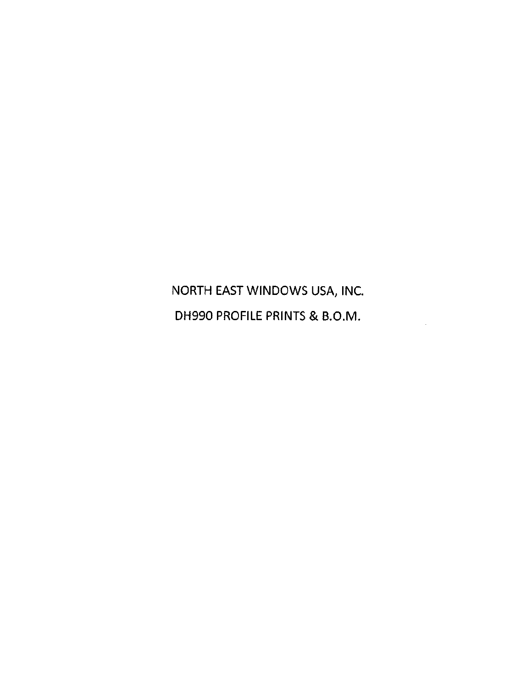NORTH EAST WINDOWS USA, INC. DH990 PROFILE PRINTS & B.O.M.

 $\mathcal{A}^{\mathcal{A}}$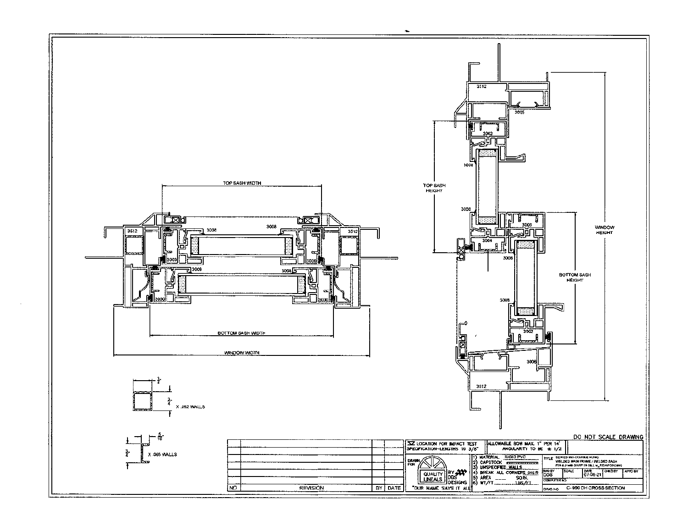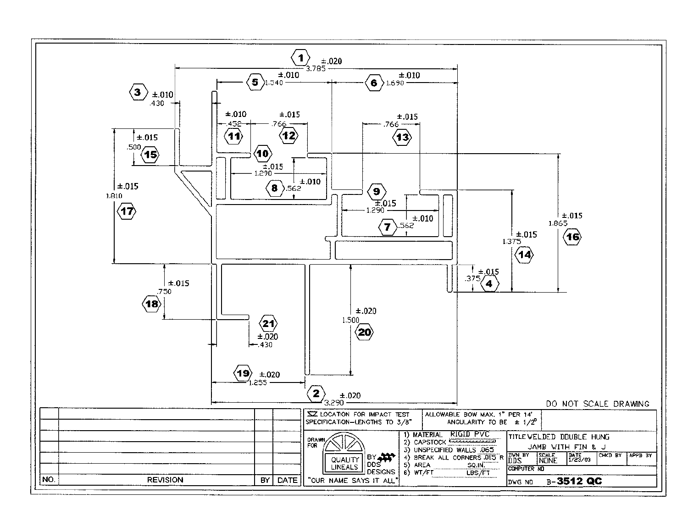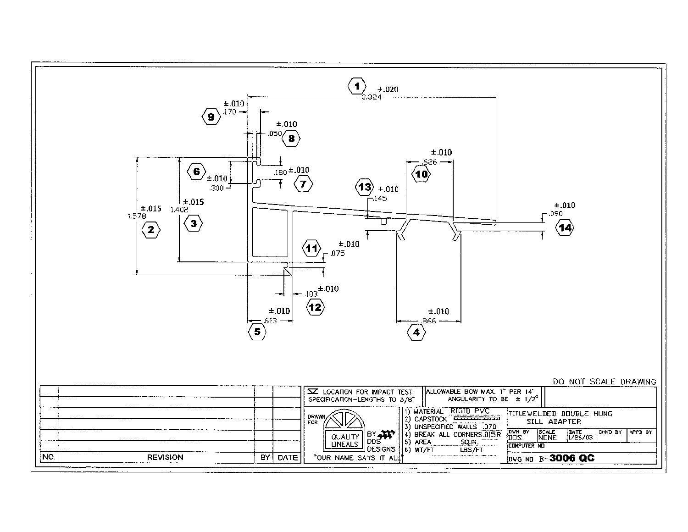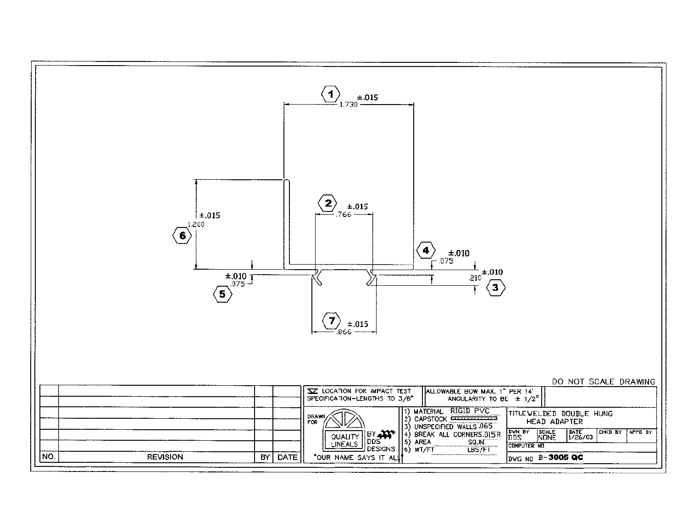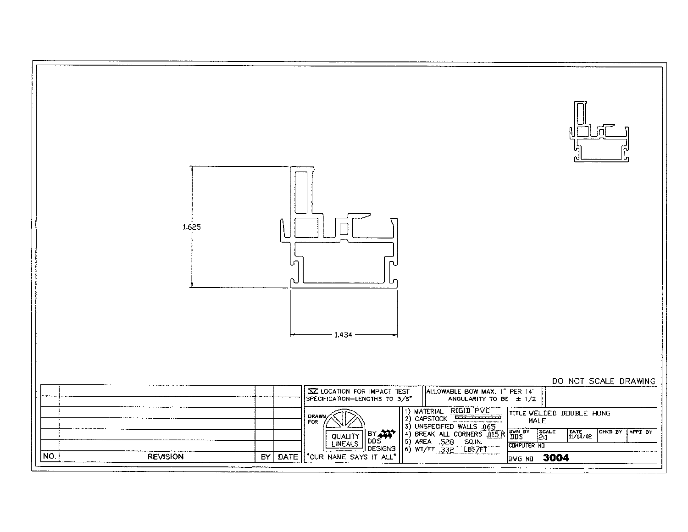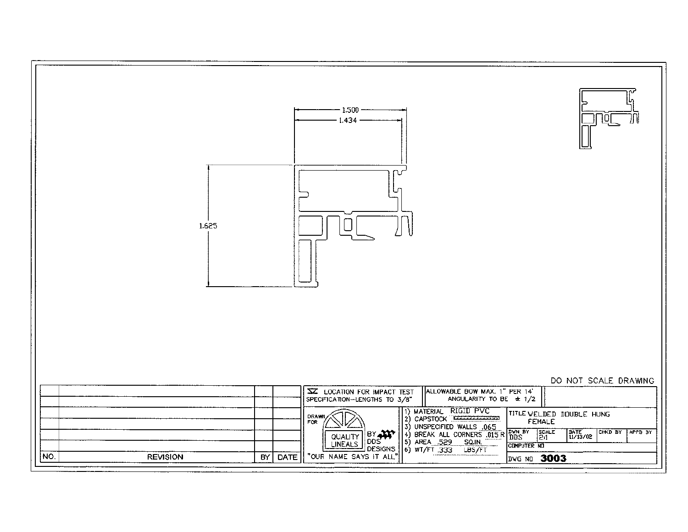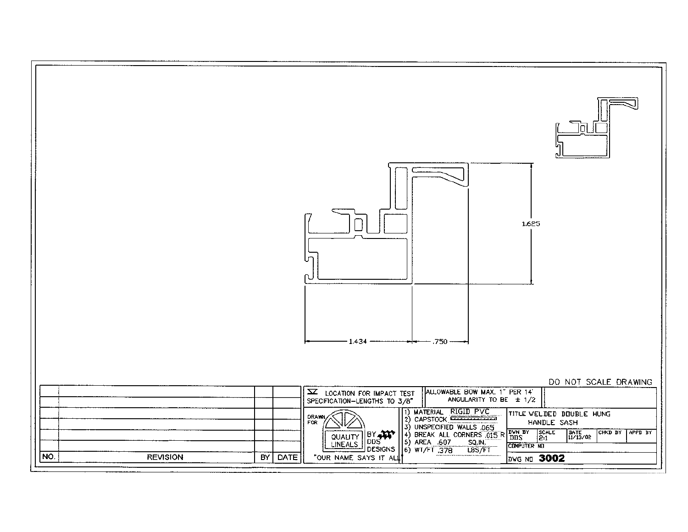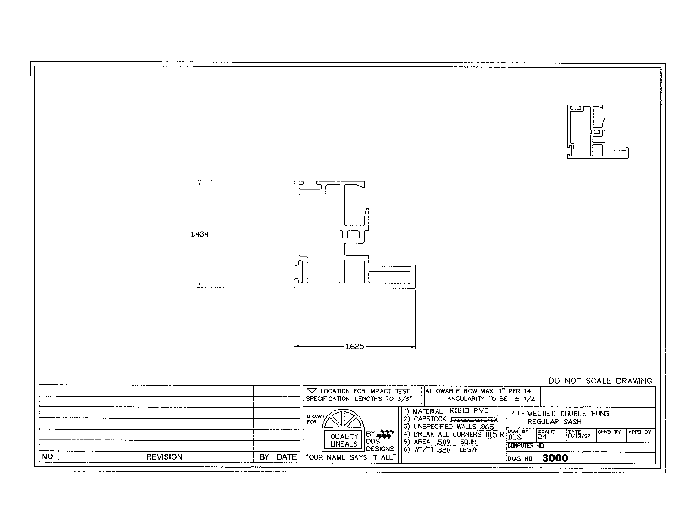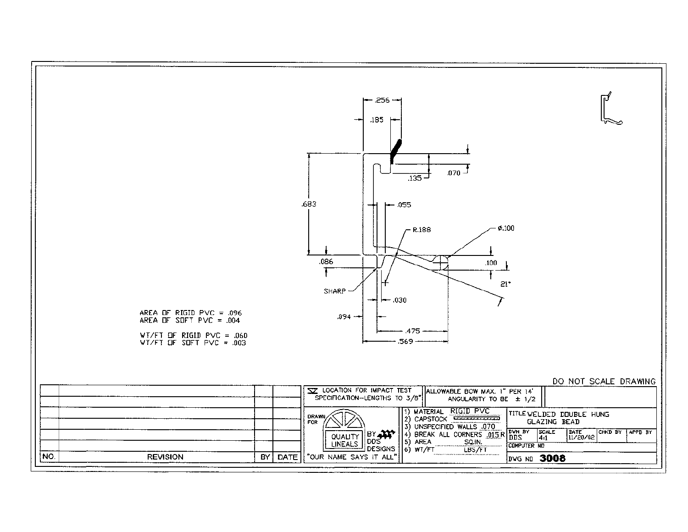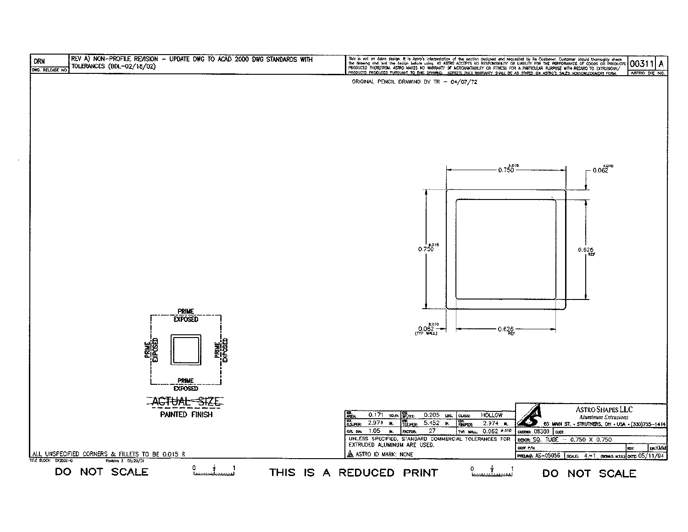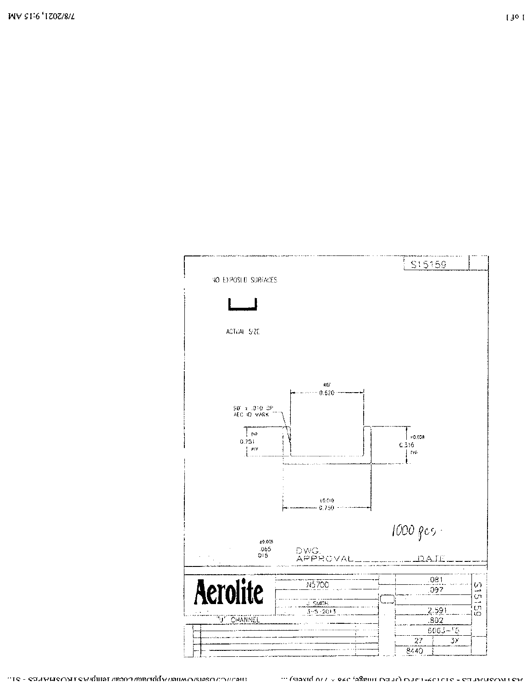

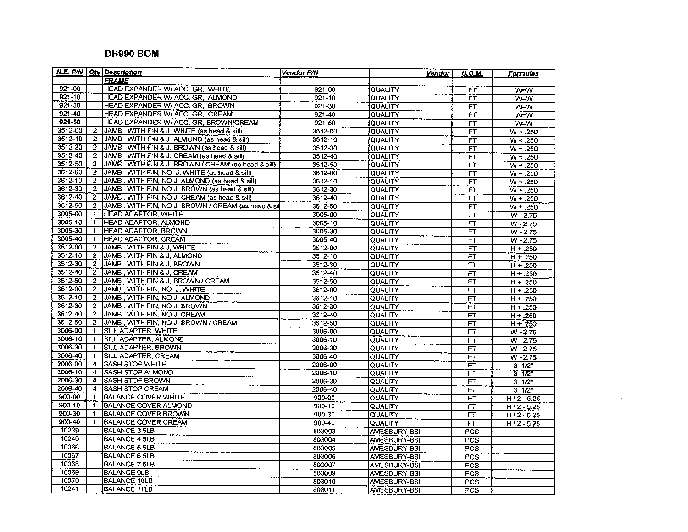# DH990 BOM

|             |                         | N.E. P/N   Qty   Description                        | Vendor P/N  | Vendor         | <b>U.O.M.</b>                       | <b>Formulas</b> |
|-------------|-------------------------|-----------------------------------------------------|-------------|----------------|-------------------------------------|-----------------|
|             |                         | <b>FRAME</b>                                        |             |                |                                     |                 |
| $921 - 00$  |                         | HEAD EXPANDER W/ ACC. GR. WHITE                     | $921 - 00$  | QUALITY        | FT                                  | W=W             |
| $921 - 10$  |                         | HEAD EXPANDER W/ ACC. GR. ALMOND                    | $921 - 10$  | QUALITY        | FT                                  | W=W             |
| $921 - 30$  |                         | HEAD EXPANDER W/ ACC. GR, BROWN                     | 921-30      | <b>QUALITY</b> | FT.                                 | W=W             |
| 921-40      |                         | HEAD EXPANDER W/ ACC. GR. CREAM                     | 921-40      | QUALITY        | $\overline{FT}$                     | $W=W$           |
| $921 - 50$  |                         | HEAD EXPANDER W/ ACC. GR. BROWN/CREAM               | $921 - 60$  | QUALITY        | FT                                  | $W = W$         |
| 3512-00     | 2                       | JAMB, WITH FIN & J, WHITE (as head & sill)          | 3512-00     | QUALITY        | FΤ                                  | $W + .250$      |
| 3512-10     | $\overline{2}$          | JAMB , WITH FIN & J. ALMOND (as head & sill)        | 3512-10     | QUALITY        | FT                                  | $W + .250$      |
| 3512-30     | $\overline{2}$          | JAMB, WITH FIN & J, BROWN (as head & sill)          | 3512-30     | QUALITY        | FΤ                                  | $W + .250$      |
| 3512-40     | $\overline{z}$          | JAMB, WITH FIN & J, CREAM (as head & sill)          | 3512-40     | QUALITY        | FT                                  | $W + 250$       |
| 3512-50     | $\mathbf{2}$            | [JAMB, WITH FIN & J, BROWN / CREAM (as head & sill) | 3512-50     | QUALITY        | FΤ                                  | $W + .250$      |
| 3612-00     | $\overline{2}$          | JAMB, WITH FIN, NO J, WHITE (as head & sill)        | 3612-00     | <b>QUALITY</b> | $\overline{\mathsf{F}^{\intercal}}$ | $W + .250$      |
| 3612-10     | $\mathbf{2}$            | JAMB, WITH FIN, NO J, ALMOND (as head & sill)       | 3612-10     | QUALITY        | FT                                  | $W + 250$       |
| 3612-30     | $\overline{2}$          | JAMB, WITH FIN, NO J, BROWN (as head & sit)         | 3612-30     | <b>QUALITY</b> | $\overline{\mathsf{FT}}$            | $W + 250$       |
| 3612-40     |                         | 2 JAMB, WITH FIN, NO J, CREAM (as head & sill)      | 3612-40     | <b>QUALITY</b> | FT                                  | $W + .250$      |
| 3612-50     | $\overline{2}$          | JAMB, WITH FIN, NO J, BROWN / CREAM (as head & sil  | 3612-50     | <b>QUALITY</b> | FT                                  | $W + 250$       |
| 3005-00     | 1                       | HEAD ADAPTOR. WHITE                                 | 3005-00     | <b>QUALITY</b> | FT                                  | $W - 2.75$      |
| $3005 - 10$ | 1                       | HEAD ADAPTOR, ALMOND                                | 3005-10     | QUALITY        | FT                                  | $W - 2.75$      |
| 3005-30     | $\mathbf{1}$            | <b>HEAD ADAPTOR, BROWN</b>                          | 3005-30     | QUALITY        | FŤ                                  | $W - 2.75$      |
| 3005-40     | $\mathbf{1}$            | <b>HEAD ADAPTOR, CREAM</b>                          | 3005-40     | QUALITY        | $\overline{\mathsf{FT}}$            | $W - 2.75$      |
| 3512-00     | $2^{\circ}$             | JAMB , WITH FIN & J, WHITE                          | 3512-00     | QUALITY        | $_{\overline{\mathsf{FT}}}$         | $H + 250$       |
| $3512 - 10$ | 2                       | JAMB , WITH FIN & J, ALMOND                         | $3512 - 10$ | QUALITY        | FT                                  | $H + .250$      |
| 3512-30     | $\mathbf{2}$            | JAMB, WITH FIN & J, BROWN                           | 3512-30     | QUALITY        | FT                                  | $H + .250$      |
| 3512-40     | $\overline{2}$          | IJAMB , WITH FIN & J, CREAM                         | 3512-40     | QUALITY        | FT                                  | $H + .250$      |
| 3512-50     | $\mathbf{2}$            | JAMB, WITH FIN & J, BROWN / CREAM                   | 3512-50     | QUALITY        | FT                                  | $H + .250$      |
| 3612-00     | $\mathbf{2}$            | JAMB, WITH FIN, NO J, WHITE                         | 3612-00     | QUALITY        | FT                                  | $H + .250$      |
| 3612-10     | $2^{-}$                 | JAMB, WITH FIN, NO J, ALMOND                        | 3612-10     | QUALITY        | FŤ                                  | $H + .250$      |
| 3612-30     |                         | 2 JJAMB, WITH FIN, NO J, BROWN                      | 3612-30     | QUALITY        | $\overline{FT}$                     | $H + .250$      |
| 3612-40     | $\overline{2}$          | JAMB , WITH FIN, NO J, CREAM                        | 3612-40     | QUALITY        | $\overline{FT}$                     | $H + .250$      |
| $3612 - 50$ | -2                      | JAMB, WITH FIN, NO J, BROWN / CREAM                 | 3612-50     | QUALITY        | FT                                  | $H + 250$       |
| 3006-00     | $\mathbf{1}$            | <b>SILL ADAPTER, WHITE</b>                          | 3006-00     | QUALITY        | FŤ                                  | $W - 2.75$      |
| 3006-10     | 1.                      | SILL ADAPTER, ALMOND                                | 3006-10     | QUALITY        | FT                                  | $W - 2.75$      |
| 3006-30     | $\mathbf{1}$            | SILL ADAPTER, BROWN                                 | 3006-30     | QUALITY        | FT                                  | $W - 2.75$      |
| 3006-40     | $\mathbf{1}$            | SILL ADAPTER, CREAM                                 | 3006-40     | QUALITY        | FT                                  | $W - 2.75$      |
| 2006-00     | $\overline{4}$          | <b>ISASH STOP WHITE</b>                             | 2006-00     | QUALITY        | FT                                  | $3 \frac{1}{2}$ |
| 2006-10     | $\overline{\mathbf{4}}$ | <b>SASH STOP ALMOND</b>                             | 2006-10     | QUALITY        | FT                                  | $3 \frac{1}{2}$ |
| 2006-30     | 4                       | ISASH STOP BROWN                                    | 2006-30     | QUALITY        | FT                                  | $3 \frac{1}{2}$ |
| 2006-40     | 4                       | <b>SASH STOP CREAM</b>                              | 2006-40     | QUALITY        | <b>FT</b>                           | $3 \frac{1}{2}$ |
| 900-00      | 1.                      | <b>BALANCE COVER WHITE</b>                          | $900 - 00$  | QUALITY        | FT                                  | $H/2 - 5.25$    |
| 900-10      | Ŧ                       | BALANCE COVER ALMOND                                | $900 - 10$  | QUALITY        | FT                                  | $H/2 - 5.25$    |
| $900 - 30$  | 1                       | <b>BALANCE COVER BROWN</b>                          | $900 - 30$  | QUALITY        | <b>FT</b>                           | $H/2 - 5.25$    |
| 900-40      | $\mathbf{1}$            | BALANCE COVER CREAM                                 | 900-40      | QUALITY        | $\overline{FT}$                     | $H/2 - 5.25$    |
| 10239       |                         | <b>BALANCE 3.5LB</b>                                | 803003      | AMESBURY-BSI   | <b>PCS</b>                          |                 |
| 10240       |                         | BALANCE 4.5LB                                       | 803004      | AMESBURY-BSI   | <b>PCS</b>                          |                 |
| 10066       |                         | <b>BALANCE 5.5LB</b>                                | 803005      | AMESBURY-BSI   | PCS                                 |                 |
| 10067       |                         | BALANCE 6.5LB                                       | 803006      | AMESBURY-BSI   | $\overline{PCS}$                    |                 |
| 10068       |                         | <b>BALANCE 7.5LB</b>                                | 803007      | AMESBURY-BSI   | PCS                                 |                 |
| 10069       |                         | <b>BALANCE 9LB</b>                                  | 803009      | AMESBURY-BSI   | $\overline{PCS}$                    |                 |
| 10070       |                         | <b>BALANCE 10LB</b>                                 | 803010      | AMESBURY-BSI   | PCS                                 |                 |
| 10241       |                         | <b>BALANCE 11LB</b>                                 | 803011      | AMESBURY-BSI   | <b>PCS</b>                          |                 |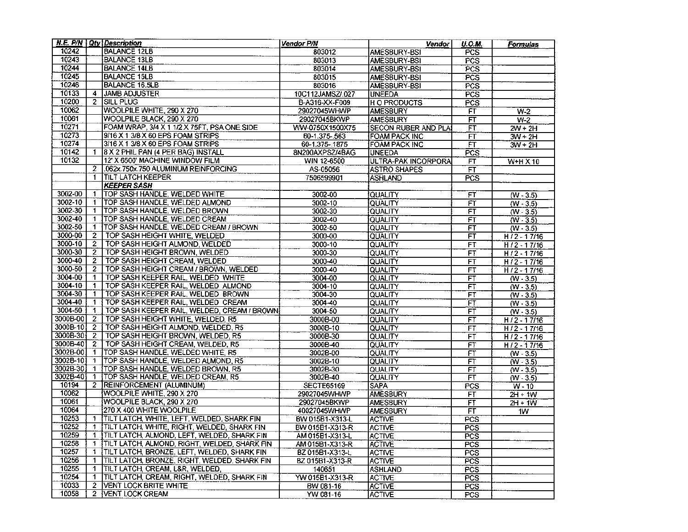|             |                | N.E. P/N Qty Description                       | Vendor P/N        | Vendor               | U.O.M.           | Formulas             |
|-------------|----------------|------------------------------------------------|-------------------|----------------------|------------------|----------------------|
| 10242       |                | <b>BALANCE 12LB</b>                            | 803012            | AMESBURY-BSI         | PCS              |                      |
| 10243       |                | BALANCE 13LB                                   | 803013            | AMESBURY-BSI         | PCS              |                      |
| 10244       |                | <b>BALANCE 14LB</b>                            | 803014            | AMESBURY-BSI         | PCS              |                      |
| 10245       |                | <b>BALANCE 15LB</b>                            | 803015            | AMESBURY-BSI         | $\overline{PCS}$ |                      |
| 10246       |                | <b>BALANCE 16.5LB</b>                          | 803016            | AMESBURY-BSI         | PCS              |                      |
| 10133       | 4              | <b>JAMB ADJUSTER</b>                           | 10C112JAMSZ/.027  | <b>UNEEDA</b>        | PCS              |                      |
| 10200       | 2              | <b>SILL PLUG</b>                               | B-A316-XX-F009    | <b>HO PRODUCTS</b>   | PCS              |                      |
| 10062       |                | WOOLPILE WHITE, 290 X 270                      | 29027045WHWP      | <b>AMESBURY</b>      | FT               | $W-2$                |
| 10061       |                | WOOLPILE BLACK, 290 X 270                      | 29027045BKWP      | <b>AMESBURY</b>      | FT               | $W-2$                |
| 10271       |                | FOAM WRAP, 3/4 X 1 1/2 X 75FT, PSA ONE SIDE    | WW-0750X1500X75   | SECON RUBER AND PLA  | FT               | $2W + 2H$            |
| 10273       |                | 9/16 X 1 3/8 X 60 EPS FOAM STRIPS              | 60-1.375-.563     | FOAM PACK INC        | FŦ               | $3W + 2H$            |
| 10274       |                | 3/16 X 1 3/8 X 60 EPS FOAM STRIPS              | 60-1.375-.1875    | <b>FOAM PACK INC</b> | $\overline{F}$   | $3W + 2H$            |
| 10142       | -1             | <b>8 X 2 PHIL PAN (4 PER BAG) INSTALL</b>      | 8N200AXPSZ/4BAG   | <b>UNEEDA</b>        | PCS              |                      |
| 10132       |                | 12' X 6500' MACHINE WINDOW FILM                | WIN 12-6500       | ULTRA-PAK INCORPORA  | FT               | W+H X 10             |
|             | $\overline{2}$ | .062x.750x.750 ALUMINUM REINFORCING            | AS-05056          | <b>ASTRO SHAPES</b>  | <b>FT</b>        |                      |
|             | $\mathbf{1}$   | <b>TILT LATCH KEEPER</b>                       | 7506599901        | <b>ASHLAND</b>       | PCS              |                      |
|             |                | <b>KEEPER SASH</b>                             |                   |                      |                  |                      |
| 3002-00     | $\mathbf{1}$   | TOP SASH HANDLE, WELDED WHITE                  | 3002-00           | <b>QUALITY</b>       | FT               | $(W - 3.5)$          |
| 3002-10     | $\mathbf{1}$   | TOP SASH HANDLE, WELDED ALMOND                 | 3002-10           | <b>İQÜALITY</b>      | $\overline{FT}$  | $(W - 3.5)$          |
| 3002-30     | $\blacksquare$ | TOP SASH HANDLE, WELDED BROWN                  | 3002-30           | QUALITY              | FT               | $(W - 3.5)$          |
| $3002 - 40$ | $\mathbf{1}$   | TOP SASH HANDLE, WELDED CREAM                  | 3002-40           | QUALITY              | FT               | $(W - 3.5)$          |
| 3002-50     | 1              | TOP SASH HANDLE, WELDED CREAM / BROWN          | $3002 - 50$       | QUALITY              | FT               | $(W - 3.5)$          |
| 3000-00     | $\mathbf{2}$   | TOP SASH HEIGHT WHITE, WELDED                  | 3000-00           | <b>QUALITY</b>       | FT               | $H/2 - 17/16$        |
| 3000-10     | $\overline{2}$ | TOP SASH HEIGHT ALMOND, WELDED                 | $3000 - 10$       | QUALITY              | FT               | $H/2 - 17/16$        |
| 3000-30     | $\mathbf{2}$   | TOP SASH HEIGHT BROWN, WELDED                  | 3000-30           | QUALITY              | FT               | $H/2 - 17/16$        |
| 3000-40     | 2              | TOP SASH HEIGHT CREAM, WELDED                  | 3000-40           | QUALITY              | FT               | $H72 - 17/16$        |
| 3000-50     | 2              | TOP SASH HEIGHT CREAM / BROWN, WELDED          | 3000-40           | QUALITY              | <b>FT</b>        | $H/2 - 17/16$        |
| 3004-00     | $\mathbf{1}$   | TOP SASH KEEPER RAIL, WELDED WHITE             | 3004-00           | QUALITY              | FT               | $\overline{(W-3.5)}$ |
| 3004-10     | $\mathbf{1}$   | TOP SASH KEEPER RAIL, WELDED ALMOND            | 3004-10           | QUALITY              | FT               | $(W - 3.5)$          |
| 3004-30     | $\overline{1}$ | TOP SASH KEEPER RAIL, WELDED BROWN             | 3004-30           | QUALITY              | FT               | $(W - 3.5)$          |
| 3004-40     | $\mathbf{1}$   | TOP SASH KEEPER RAIL, WELDED CREAM             | 3004-40           | QUALITY              | FT               | $(W - 3.5)$          |
| 3004-50     | -1             | TOP SASH KEEPER RAIL, WELDED, CREAM / BROWN    | 3004-50           | QUALITY              | FT               | $(W - 3.5)$          |
| 3000B-00    | $\overline{2}$ | TOP SASH HEIGHT WHITE, WELDED, R5              | 30008-00          | QUALITY              | FT               | $H/2 - 17/16$        |
| 3000B-10    | $\overline{2}$ | TOP SASH HEIGHT ALMOND, WELDED, R5             | 30008-10          | QUALITY              | FT               | $H/2 - 17/16$        |
| 3000B-30    | -2             | TOP SASH HEIGHT BROWN, WELDED, R5              | 30008-30          | QUALITY              | FT               | $H/2 - 17/16$        |
| 3000B-40    | -2             | TOP SASH HEIGHT CREAM, WELDED, R5              | 30008-40          | QUALITY              | FT               | $H/2 - 17/16$        |
| 3002B-00    | $\mathbf{1}$   | TOP SASH HANDLE, WELDED WHITE, R5              | 30028-00          | QUALITY              | FT               | $(W - 3.5)$          |
| 3002B-101   | 1              | TOP SASH HANDLE, WELDED ALMOND, R5             | 30028-10          | QUALITY              | FT               | $(W - 3.5)$          |
| 3002B-30    | $\mathbf{1}$   | TOP SASH HANDLE, WELDED BROWN, R5              | 3002B-30          | QUALITY              | $F$ T            | $(W - 3.5)$          |
| 3002B-40    | 1              | TOP SASH HANDLE, WELDED CREAM, R5              | 3002B-40          | QUALITY              | FT               | $(W - 3.5)$          |
| 10194       | 2              | REINFORCEMENT (ALUMINUM)                       | <b>SECTE65169</b> | <b>SAPA</b>          | PCS              | $W - 10$             |
| 10062       |                | WOOLPILE WHITE, 290 X 270                      | 29027045WHWP      | <b>AMESBURY</b>      | <b>FT</b>        | $2H + 1W$            |
| 10061       |                | WOOLPILE BLACK, 290 X 270                      | 29027045BKWP      | <b>AMESBURY</b>      | FT               | $2H + 1W$            |
| 10064       |                | 270 X 400 WHITE WOOLPILE                       | 40027045WHWP      | <b>AMESBURY</b>      | FT               | 1W                   |
| 10253       | 1              | TILT LATCH, WHITE, LEFT, WELDED, SHARK FIN     | BW 015B1-X313-L   | <b>ACTIVE</b>        | PCS              |                      |
| 10252       |                | 1 ITILT LATCH, WHITE, RIGHT, WELDED, SHARK FIN | BW 015B1-X313-R   | <b>ACTIVE</b>        | $\overline{PCS}$ |                      |
| 10259       | -1             | ITILT LATCH, ALMOND, LEFT, WELDED, SHARK FIN   | AM 015B1-X313-L   | <b>ACTIVE</b>        | <b>PCS</b>       |                      |
| 10258       | 1              | TILT LATCH, ALMOND, RIGHT, WELDED, SHARK FIN   | AM 015B1-X313-R   | <b>ACTIVE</b>        | PCS              |                      |
| 10257       | 1              | TILT LATCH, BRONZE, LEFT, WELDED, SHARK FIN    | BZ 015B1-X313-L   | <b>ACTIVE</b>        | <b>PCS</b>       |                      |
| 10256       | $\mathbf{1}$   | TILT LATCH, BRONZE, RIGHT, WELDED, SHARK FIN   | BZ 015B1-X313-R   | <b>ACTIVE</b>        | PCS              |                      |
| 10255       | $\mathbf 1$    | TILT LATCH, CREAM, L&R, WELDED,                | 140651            | ASHLAND              | <b>PCS</b>       |                      |
| 10254       | 1              | TILT LATCH, CREAM, RIGHT, WELDED, SHARK FIN    | YW 015B1-X313-R   | <b>ACTIVE</b>        | PCS.             |                      |
| 10033       | $\mathbf{2}$   | VENT LOCK BRITE WHITE                          | BW 081-16         | <b>ACTIVE</b>        | <b>PCS</b>       |                      |
| 10058       | $\mathbf{2}$   | VENT LOCK CREAM                                | YW 081-16         | <b>ACTIVE</b>        | <b>PCS</b>       |                      |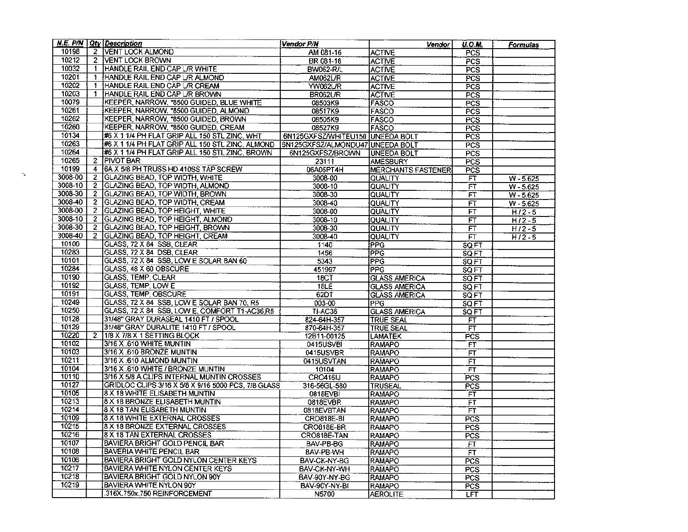|         |              | <b>N.E. P/N Qty Description</b>                     | Vendor P/N                       | Vendor                             | <b>U.O.M.</b>    | <u>Formulas</u>            |
|---------|--------------|-----------------------------------------------------|----------------------------------|------------------------------------|------------------|----------------------------|
| 10198   |              | 2 VENT LOCK ALMOND                                  | AM 081-16                        | <b>ACTIVE</b>                      | PCS              |                            |
| 10212   |              | 2 VENT LOCK BROWN                                   | BR 081-16                        | <b>ACTIVE</b>                      | PCS              |                            |
| 10032   | $\mathbf{1}$ | HANDLE RAIL END CAP L/R WHITE                       | <b>BW062-R/L</b>                 | <b>ACTIVE</b>                      | <b>PCS</b>       |                            |
| 10201   |              | 1 HANDLE RAIL END CAP UR ALMOND                     | <b>AM062L/R</b>                  | <b>ACTIVE</b>                      | PCS              |                            |
| 10202   | $\mathbf{1}$ | HANDLE RAIL END CAP UR CREAM                        | <b>YW062L/R</b>                  | <b>ACTIVE</b>                      | PCS              |                            |
| 10203   | $\mathbf{1}$ | HANDLE RAIL END CAP L/R BROWN                       | BR062L/R                         | <b>ACTIVE</b>                      | PCS              |                            |
| 10079   |              | KEEPER, NARROW, *8500 GUIDED, BLUE WHITE            | 08503K9                          | FASCO                              | PCS              |                            |
| 10261   |              | KEEPER, NARROW, *8500 GUIDED, ALMOND                | 08517K9                          | FASCO                              | PCS              |                            |
| 10262   |              | KEEPER, NARROW, *8500 GUIDED, BROWN                 | 08505K9                          | FASCO                              | PCS              |                            |
| 10260   |              | KEEPER, NARROW, *8500 GUIDED, CREAM                 | 08527K9                          | IFASCO                             | <b>PCS</b>       |                            |
| 10134   |              | #6 X 1 1/4 PH FLAT GRIP ALL 150 STL ZINC, WHT       | 6N125GXFSZ/WHITEU150 UNEEDA BOLT |                                    | PCS              |                            |
| 10263   |              | #6 X 1 1/4 PH FLAT GRIP ALL 150 STL ZINC, ALMOND    | 6N125GXFSZ/ALMONDU47 UNEEDA BOLT |                                    | <b>PCS</b>       |                            |
| 10264   |              | #6 X 1 1/4 PH FLAT GRIP ALL 150 STL ZINC, BROWN     | 6N125GXFSZ/BROWN                 | <b>UNEEDA BOLT</b>                 | PCS              |                            |
| 10265   |              | 2 PIVOT BAR                                         | 23111                            | <b>AMESBURY</b>                    | $\overline{PCS}$ |                            |
| 10199   |              | 4 6A X 5/8 PH TRUSS HD 410SS TAP SCREW              | 06A05PT4H                        | MERCHANTS FASTENER                 | PCS              |                            |
| 3008-00 |              | 2 GLAZING BEAD, TOP WIDTH, WHITE                    | 3008-00                          | QUALITY                            | $\overline{FT}$  |                            |
| 3008-10 |              | 2 GLAZING BEAD, TOP WIDTH, ALMOND                   | 3008-10                          | <b>QUALITY</b>                     | FT               | $W - 5.625$<br>$W - 5.625$ |
| 3008-30 |              | 2 GLAZING BEAD, TOP WIDTH, BROWN                    | 3008-30                          |                                    | FÏ               |                            |
| 3008-40 |              | 2 GLAZING BEAD, TOP WIDTH, CREAM                    | 3008-40                          | QUALITY<br>QUALITY                 | FT               | W-5.625                    |
| 3008-00 |              | 2 GLAZING BEAD, TOP HEIGHT, WHITE                   | 3008-00                          | <b>QUALITY</b>                     |                  | $W - 5.625$                |
| 3008-10 |              | 2 GLAZING BEAD, TOP HEIGHT, ALMOND                  | 3008-10                          |                                    | FT               | $H/2 - 5$                  |
| 3008-30 |              | 2 GLAZING BEAD, TOP HEIGHT, BROWN                   | 3008-30                          | <b>QUALITY</b><br><b>QUALITY</b>   | FT               | $H/2 - 5$                  |
| 3008-40 | 2            | <b>GLAZING BEAD, TOP HEIGHT, CREAM</b>              | 3008-40                          |                                    | FT               | $H/2 - 5$                  |
| 10100   |              | GLASS, 72 X 84 SSB, CLEAR                           |                                  | <b>QUALITY</b>                     | FT               | $H/2 - 5$                  |
| 10283   |              | GLASS, 72 X 84 DSB, CLEAR                           | 1140<br>1456                     | <b>PPG</b><br><b>PPG</b>           | SQ FT            |                            |
| 10101   |              | GLASS, 72 X 84 SSB, LOW E SOLAR BAN 60              | 5343                             | <b>PPG</b>                         | SQFT             |                            |
| 10284   |              | GLASS, 48 X 60 OBSCURE                              | 451997                           | IPPG                               | <b>SQFT</b>      |                            |
| 10190   |              | GLASS, TEMP, CLEAR                                  | 18CT                             |                                    | SOFT             |                            |
| 10192   |              | <b>GLASS, TEMP, LOW E</b>                           | 18LE                             | <b>GLASS AMERICA</b>               | SQFT             |                            |
| 10191   |              | GLASS, TEMP, OBSCURE                                | 62DT                             | <b>GLASS AMERICA</b>               | SQ FT            |                            |
| 10249   |              | GLASS, 72 X 84 SSB, LOW E SOLAR BAN 70, R5          | 003-00                           | <b>GLASS AMERICA</b><br><b>PPG</b> | SQ FT            |                            |
| 10250   |              | GLASS, 72 X 84 SSB, LOW E, COMFORT T1-AC36,R5       | TI-AC36                          | <b>GLASS AMERICA</b>               | <b>SQFT</b>      |                            |
| 10128   |              | 31/48" GRAY DURASEAL 1410 FT / SPOOL                | 824-64H-357                      | TRUE SEAL                          | SQ FT<br>F       |                            |
| 10129   |              | 31/48" GRAY DURALITE 1410 FT / SPOOL                | 870-64H-357                      | <b>TRÚE SEAL</b>                   | FT               |                            |
| 10220   |              | 2   1/8 X 7/8 X 1 SETTING BLOCK                     | 12B11-00125                      | ILAMATEK                           | PCS              |                            |
| 10102   |              | 3/16 X .610 WHITE MUNTIN                            | 0415USVBI                        | RAMAPO                             | FÏ               |                            |
| 10103   |              | 3/16 X .610 BRONZE MUNTIN                           | 0415USVBR                        | <b>RAMAPO</b>                      | FT               |                            |
| 10211   |              | 3/16 X .610 ALMOND MUNTIN                           | 0415USVTAN                       | <b>RAMAPO</b>                      | FT               |                            |
| 10104   |              | 3/16 X .610 WHITE / BRONZE MUNTIN                   | 10104                            | <b>IRAMAPO</b>                     | FT               |                            |
| 10110   |              | 3/16 X 5/8 A CLIPS INTERNAL MUNTIN CROSSES          | CRO416IJ                         | <b>RAMAPO</b>                      | PCS              |                            |
| 10127   |              | GRIDLOC CLIPS 3/16 X 5/8 X 9/16 5000 PCS, 7/8 GLASS | 316-56GL-580                     | TRUSEAL                            | PCS              |                            |
| 10105   |              | 8 X 18 WHITE ELISABETH MUNTIN                       | 0818EVBI                         | RAMAPO                             | FT               |                            |
| 10213   |              | 8 X 18 BRONZE ELISABETH MUNTIN                      | 0818EVBR                         | <b>RAMAPO</b>                      | FT               |                            |
| 10214   |              | 8 X 18 TAN ELISABETH MUNTIN                         | 0818EVBTAN                       | <b>RAMAPO</b>                      | ŦΤ               |                            |
| 10109   |              | 8 X 18 WHITE EXTERNAL CROSSES                       | CRO818E-BI                       | <b>IRAMAPO</b>                     | <b>PCS</b>       |                            |
| 10215   |              | 8 X 18 BRONZE EXTERNAL CROSSES                      | CRO818E-BR                       | <b>RAMAPO</b>                      |                  |                            |
| 10216   |              | 8 X 18 TAN EXTERNAL CROSSES                         | CRO818E-TAN                      | <b>RAMAPO</b>                      | <b>PCS</b>       |                            |
| 10107   |              | BAVIERA BRIGHT GOLD PENCIL BAR                      | BAV-PB-BG                        | <b>RAMAPO</b>                      | PCS              |                            |
| 10108   |              | BAVERIA WHITE PENCIL BAR                            | BAV-PB-WH                        | <b>RAMAPO</b>                      | FT               |                            |
| 10106   |              | BAVIERA BRIGHT GOLD NYLON CENTER KEYS               |                                  | RAMAPO                             | <b>FT</b>        |                            |
| 10217   |              | BAVIERA WHITE NYLON CENTER KEYS                     | BAV-CK-NY-BG<br>BAV-CK-NY-WH     |                                    | PCS              |                            |
| 10218   |              | BAVIERA BRIGHT GOLD NYLON 90Y                       |                                  | <b>RAMAPO</b>                      | PCS              |                            |
| 10219   |              | <b>BAVIERA WHITE NYLON 90Y</b>                      | BAV-90Y-NY-BG                    | <b>RAMAPO</b>                      | PCS <sup>1</sup> |                            |
|         |              | 316X.750x.750 REINFORCEMENT                         | BAV-90Y-NY-BI                    | <b>RAMAPO</b>                      | <b>PCS</b>       |                            |
|         |              |                                                     | N5700                            | <b>AEROLITE</b>                    | <b>LFT</b>       |                            |

 $\sigma_{\rm{sc}}$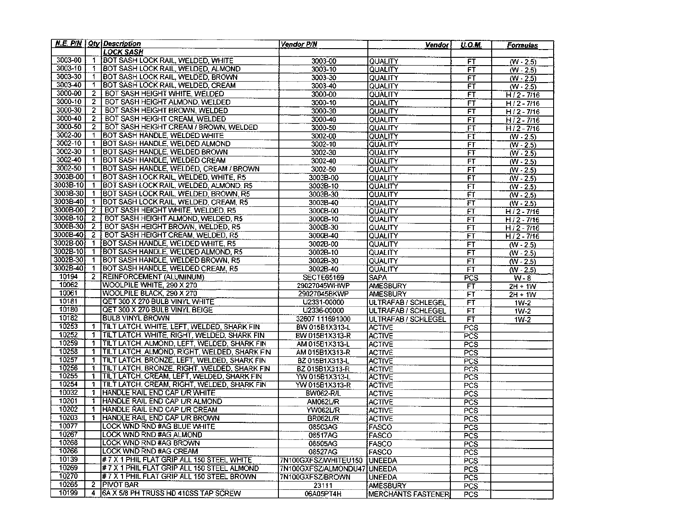|             |                | N.E. P/N   Qty   Description                 | Vendor P/N                   | <b>Vendor</b>              | <b>U.O.M.</b>                        | Formulas                        |
|-------------|----------------|----------------------------------------------|------------------------------|----------------------------|--------------------------------------|---------------------------------|
|             |                | LOCK SASH                                    |                              |                            |                                      |                                 |
| 3003-00     |                | 1 BOT SASH LOCK RAIL, WELDED, WHITE          | 3003-00                      | QUALITY                    | <b>FT</b>                            | $(W - 2.5)$                     |
| 3003-10     |                | 1 BOT SASH LOCK RAIL, WELDED, ALMOND         | 3003-10                      | QUALITY                    | FT                                   | $(W - 2.5)$                     |
| 3003-30     | $\mathbf{1}$   | <b>BOT SASH LOCK RAIL, WELDED, BROWN</b>     | 3003-30                      | QUALITY                    | FT                                   | $(W - 2.5)$                     |
| 3003-40     | 1.             | BOT SASH LOCK RAIL, WELDED, CREAM            | $3003 - 40$                  | QUALITY                    | FT                                   | $(W - 2.5)$                     |
| 3000-00     | $\mathbf{2}$   | BOT SASH HEIGHT WHITE, WELDED                | 3000-00                      | QUALITY                    | FT                                   | $H/2 - 7/16$                    |
| $3000 - 10$ | $\overline{2}$ | BOT SASH HEIGHT ALMOND, WELDED               | 3000-10                      | QUALITY                    | FŤ                                   | $H/2 - 7/16$                    |
| 3000-30     | 2              | BOT SASH HEIGHT BROWN, WELDED                | 3000-30                      | QUALITY                    | FT                                   | $H/2 - 7/16$                    |
| 3000-40     | $\overline{2}$ | BOT SASH HEIGHT CREAM, WELDED                | 3000-40                      | QUALITY                    | FT                                   | $H/2 - 7/16$                    |
| 3000-50     | $\overline{2}$ | BOT SASH HEIGHT CREAM / BROWN, WELDED        | 3000-50                      | QUALITY                    | FT                                   | $H12 - 7/16$                    |
| 3002-00     | $\mathbf{1}$   | BOT SASH HANDLE, WELDED WHITE                | 3002-00                      | QUALITY                    | FŤ                                   | $\overline{(W - 2.5)}$          |
| $3002 - 10$ | 1              | BOT SASH HANDLE, WELDED ALMOND               | 3002-10                      | QUALITY                    | FT                                   | $(W - 2.5)$                     |
| 3002-30     | 1.             | BOT SASH HANDLE, WELDED BROWN                | 3002-30                      | QUALITY                    | FT                                   | $(W - 2.5)$                     |
| 3002-40     | $\mathbf{1}$   | BOT SASH HANDLE, WELDED CREAM                | 3002-40                      | <b>QUALITY</b>             | FT                                   | $(W - 2.5)$                     |
| 3002-50     | $\mathbf{1}$   | BOT SASH HANDLE, WELDED, CREAM / BROWN       | 3002-50                      | QUALITY                    | FŤ                                   | $(W - 2.5)$                     |
| 3003B-00    | $\mathbf{1}$   | BOT SASH LOCK RAIL, WELDED, WHITE, R5        | 3003B-00                     | QUALITY                    | FT                                   | $(W - 2.5)$                     |
| 3003B-10    | $\mathbf{1}$   | BOT SASH LOCK RAIL, WELDED, ALMOND, R5       | 3003B-10                     | QUALITY                    | FT                                   | $\overline{\left(W-2.5\right)}$ |
| 3003B-30    | $\mathbf{1}$   | BOT SASH LOCK RAIL, WELDED, BROWN, R5        | 3003B-30                     | QUALITY                    | $\overline{FT}$                      | $\overline{(N-2.5)}$            |
| 3003B-40    | $\mathbf{1}$   | BOT SASH LOCK RAIL, WELDED, CREAM, R5        | 3003B-40                     | QUALITY                    | FT.                                  | $(W - 2.5)$                     |
| 3000B-00    | $\overline{2}$ | BOT SASH HEIGHT WHITE, WELDED, R5            | 3000B-00                     | QUALITY                    | FT                                   | $H/2 - 7/16$                    |
| 3000B-10    | $\mathbf{2}$   | BOT SASH HEIGHT ALMOND, WELDED, R5           | 30008-10                     | QUALITY                    | F                                    | $H/2 - 7/16$                    |
| 3000B-30    | $\overline{2}$ | BOT SASH HEIGHT BROWN, WELDED, R5            | 3000B-30                     | QUALITY                    | FT                                   | $H/2 - 7/16$                    |
| 3000B-40    | 2              | BOT SASH HEIGHT CREAM, WELDED, R5            | 3000B-40                     | QUALITY                    | <b>FT</b>                            | $H/2 - 7/16$                    |
| 3002B-00    | $\mathbf{1}$   | BOT SASH HANDLE, WELDED WHITE, R5            | 3002B-00                     | QUALITY                    | <b>FT</b>                            | $\sqrt{(W - 2.5)}$              |
| 3002B-10    | $\mathbf{1}$   | BOT SASH HANDLE, WELDED ALMOND, R5           | 3002B-10                     | QUALITY                    | FT                                   | $\overline{(W-2.5)}$            |
| 3002B-30    | $\mathbf{1}$   | BOT SASH HANDLE. WELDED BROWN, R5            | 3002B-30                     | QUALITY                    | FT                                   | $(W - 2.5)$                     |
| 3002B-40    | $\mathbf{1}$   | BOT SASH HANDLE, WELDED CREAM, R5            | 3002B-40                     | <b>QUALITY</b>             | FT                                   | $(W - 2.5)$                     |
| 10194       | 2              | REINFORCEMENT (ALUMINUM)                     | <b>SECTE65169</b>            | <b>SAPA</b>                | $\overline{PCS}$                     | $W - 8$                         |
| 10062       |                | WOOLPILE WHITE, 290 X 270                    | 29027045WHWP                 | <b>AMESBURY</b>            | FT                                   | $2H + 1W$                       |
| 10061       |                | WOOLPILE BLACK, 290 X 270                    | 29027045BKWP                 | <b>AMESBURY</b>            | FT                                   | $2H + 1W$                       |
| 10181       |                | QET 300 X 270 BULB VINYL WHITE               | U2331-00000                  | ULTRAFAB / SCHLEGEL        | FT                                   | $1W-2$                          |
| 10180       |                | QET 300 X 270 BULB VINYL BEIGE               | U2336-00000                  | <b>ULTRAFAB / SCHLEGEL</b> | FT                                   | $1W-2$                          |
| 10182       |                | <b>BULB VINYL BROWN</b>                      | 32607 111691000              | ULTRAFAB / SCHLEGEL        | F                                    | $1W-2$                          |
| 10253       | $\mathbf{1}$   | TILT LATCH, WHITE, LEFT, WELDED, SHARK FIN   | BW 015B1X313-L               | <b>ACTIVE</b>              | PCS                                  |                                 |
| 10252       | 1              | TILT LATCH, WHITE, RIGHT, WELDED, SHARK FIN  | BW 015B1X313-R               | <b>ACTIVE</b>              | PCS                                  |                                 |
| 10259       | 1              | TILT LATCH, ALMOND, LEFT, WELDED, SHARK FIN  | AM 015B1X313-L               | <b>ACTIVE</b>              | PCS                                  |                                 |
| 10258       | $\mathbf{1}$   | TILT LATCH, ALMOND, RIGHT, WELDED, SHARK FIN | AM 015B1X313-R               | <b>ACTIVE</b>              | PCS                                  |                                 |
| 10257       | 1              | TILT LATCH, BRONZE, LEFT, WELDED, SHARK FIN  | BZ 015B1X313-L               | <b>ACTIVE</b>              | PCS                                  |                                 |
| 10256       | 1              | TILT LATCH, BRONZE, RIGHT, WELDED, SHARK FIN | BZ 015B1X313-R               | <b>ACTIVE</b>              | PCS                                  |                                 |
| 10255       | 1              | TILT LATCH, CREAM, LEFT, WELDED, SHARK FIN   | YW 015B1X313-L               | <b>ACTIVE</b>              | PCS                                  |                                 |
| 10254       | $\mathbf{1}$   | TILT LATCH, CREAM, RIGHT, WELDED, SHARK FIN  | YW 015B1X313-R               | <b>ACTIVE</b>              | PCS                                  |                                 |
| 10032       | 1              | IHANDLE RAIL END CAP L/R WHITE               | <b>BW062-R/L</b>             | <b>ACTIVE</b>              | PCS                                  |                                 |
| 10201       | 1              | HANDLE RAIL END CAP UR ALMOND                | <b>AM062L/R</b>              | <b>ACTIVE</b>              | <b>PCS</b>                           |                                 |
| 10202       | 1              | HANDLE RAIL END CAP L/R CREAM                | YW062L/R                     | <b>ACTIVE</b>              | <b>PCS</b>                           |                                 |
| 10203       | 1.             | HANDLE RAIL END CAP L/R BROWN                | BR062L/R                     | ACTIVE                     | <b>PCS</b>                           |                                 |
| 10077       |                | LOCK WND RND #AG BLUE WHITE                  | 08503AG                      | FASCO                      | PCS                                  |                                 |
| 10267       |                | LOCK WND RND #AG ALMOND                      | 08517AG                      | <b>IFASCO</b>              | PCS                                  |                                 |
| 10268       |                | LOCK WND RND #AG BROWN                       | 08505AG                      | FASCO                      | <b>PCS</b>                           |                                 |
| 10266       |                | LOCK WND RND #AG CREAM                       | 08527AG                      | FASCO                      | <b>PCS</b>                           |                                 |
| 10139       |                | # 7 X 1 PHIL FLAT GRIP ALL 150 STEEL WHITE   | 7N100GXFSZ/WHITEU150 IUNEEDA |                            |                                      |                                 |
| 10269       |                | # 7 X 1 PHIL FLAT GRIP ALL 150 STEEL ALMOND  | 7N100GXFSZ/ALMONDU47 UNEEDA  |                            | PCS <sup>-</sup><br>PCS <sup>1</sup> |                                 |
| 10270       |                | # 7 X 1 PHIL FLAT GRIP ALL 150 STEEL BROWN   | 7N100GXFSZ/BROWN             | <b>UNEEDA</b>              |                                      |                                 |
| 10265       | 2              | <b>PIVOT BAR</b>                             | 23111                        |                            | PCS                                  |                                 |
| 10199       | 4              | 6A X 5/8 PH TRUSS HD 410SS TAP SCREW         |                              | AMESBURY                   | <b>PCS</b>                           |                                 |
|             |                |                                              | 06A05PT4H                    | MERCHANTS FASTENER         | PCS <sup>1</sup>                     |                                 |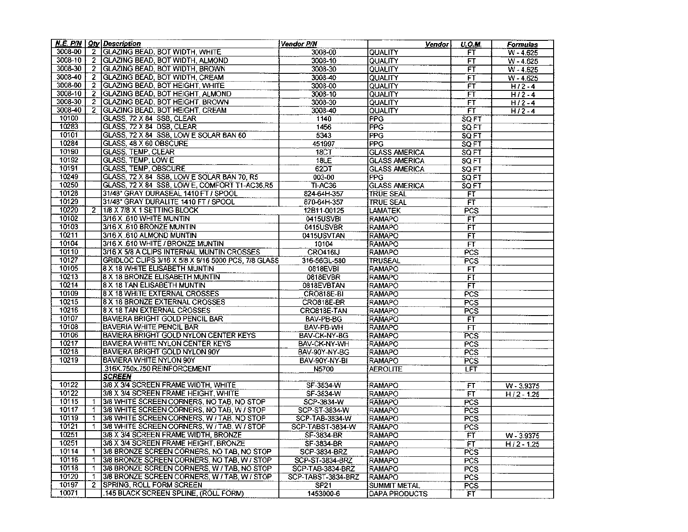|         |                | N.E. P/N $\vert$ Qty Description                    | Vendor P/N         | Vendorl                        | U.O.M.       | Formulas     |
|---------|----------------|-----------------------------------------------------|--------------------|--------------------------------|--------------|--------------|
| 3008-00 |                | 2 GLAZING BEAD, BOT WIDTH, WHITE                    | 3008-00            | QUALITY                        | FT           | $W - 4.625$  |
| 3008-10 |                | 2 GLAZING BEAD, BOT WIDTH, ALMOND                   | 3008-10            | QUALITY                        | FT           | $W - 4.625$  |
| 3008-30 |                | 2 GLAZING BEAD, BOT WIDTH, BROWN                    | 3008-30            | QUALITY                        | FT           | $W - 4.625$  |
| 3008-40 | $\mathbf{2}$   | GLAZING BEAD, BOT WIDTH, CREAM                      | 3008-40            | QUALITY                        | FT           | $W - 4.625$  |
| 3008-00 | $\overline{2}$ | <b>GLAZING BEAD, BOT HEIGHT, WHITE</b>              | 3008-00            | QUALITY                        | FT           | $H/2 - 4$    |
| 3008-10 |                | 2 GLAZING BEAD, BOT HEIGHT, ALMOND                  | 3008-10            | QUALITY                        | ÏΠ           | $H/2 - 4$    |
| 3008-30 | $\mathbf{2}^-$ | GLAZING BEAD, BOT HEIGHT, BROWN                     | 3008-30            | QUALITY                        | FT           | $H/2 - 4$    |
| 3008-40 | 2              | GLAZING BEAD, BOT HEIGHT, CREAM                     | 3008-40            | QUALITY                        | FT           | $H/2 - 4$    |
| 10100   |                | GLASS, 72 X 84 SSB, CLEAR                           | 1140               | <b>PPG</b>                     | SQ FT        |              |
| 10283   |                | GLASS, 72 X 84 DSB, CLEAR                           | 1456               | PPG                            | SQFT         |              |
| 10101   |                | GLASS, 72 X 84 SSB, LOW E SOLAR BAN 60              | 5343               | <b>PPG</b>                     | SQFT         |              |
| 10284   |                | GLASS, 48 X 60 OBSCURE                              | 451997             | <b>PPG</b>                     | <b>SQ FT</b> |              |
| 10190   |                | <b>GLASS, TEMP, CLEAR</b>                           | 18CT               | <b>GLASS AMERICA</b>           | SQ FT        |              |
| 10192   |                | GLASS, TEMP, LOW E                                  | 18LE               | <b>GLASS AMERICA</b>           | SQFT         |              |
| 10191   |                | GLASS, TEMP, OBSCURE                                | 62DT               | <b>GLASS AMERICA</b>           | SQ FT        |              |
| 10249   |                | GLASS, 72 X 84 SSB, LOW E SOLAR BAN 70, R5          | 003-00             | PPG                            | SQ FT        |              |
| 10250   |                | GLASS, 72 X 84 SSB, LOW E, COMFORT T1-AC36,R5       | <b>TI-AC36</b>     | <b>GLASS AMERICA</b>           | <b>SQFT</b>  |              |
| 10128   |                | 31/48" GRAY DURASEAL 1410 FT / SPOOL                | 824-64H-357        | <b>TRÜE SEAL</b>               | FT           |              |
| 10129   |                | 31/48" GRAY DURALITE 1410 FT / SPOOL                | 870-64H-357        | <b>TRUE SEAL</b>               | FT           |              |
| 10220   | 2 <sup>1</sup> | 1/8 X 7/8 X 1 SETTING BLOCK                         | 12B11-00125        | <b>LAMATEK</b>                 | PCS          |              |
| 10102   |                | 3/16 X .610 WHITE MUNTIN                            | 0415USVBI          | <b>RAMAPO</b>                  |              |              |
| 10103   |                | 3/16 X .610 BRONZE MUNTIN                           | 0415USVBR          |                                | FT           |              |
| 10211   |                | 3/16 X .610 ALMOND MUNTIN                           | 0415USVTAN         | <b>RAMAPO</b><br><b>RAMAPO</b> | FT<br>F      |              |
| 10104   |                | 3/16 X .610 WHITE / BRONZE MUNTIN                   |                    |                                |              |              |
| 10110   |                | 3/16 X 5/8 A CLIPS INTERNAL MUNTIN CROSSES          | 10104              | <b>RAMAPO</b>                  | FT           |              |
| 10127   |                |                                                     | CRO416IJ           | <b>RAMAPO</b>                  | PCS          |              |
|         |                | GRIDLOC CLIPS 3/16 X 5/8 X 9/16 5000 PCS, 7/8 GLASS | 316-56GL-580       | <b>TRUSEAL</b>                 | <b>PCS</b>   |              |
| 10105   |                | I8 X 18 WHITE ELISABETH MUNTIN                      | 0818EVBI           | <b>RAMAPO</b>                  | FT           |              |
| 10213   |                | 8 X 18 BRONZE ELISABETH MUNTIN                      | 0818EVBR           | RAMAPO                         | FT           |              |
| 10214   |                | 8 X 18 TAN ELISABETH MUNTIN                         | 0818EVBTAN         | <b>RAMAPO</b>                  | <b>FT</b>    |              |
| 10109   |                | 8 X 18 WHITE EXTERNAL CROSSES                       | <b>CRO818E-BI</b>  | <b>RAMAPO</b>                  | PCS          |              |
| 10215   |                | 8 X 18 BRONZE EXTERNAL CROSSES                      | CRO818E-BR         | RAMAPO                         | <b>PCS</b>   |              |
| 10216   |                | 8 X 18 TAN EXTERNAL CROSSES                         | CRO818E-TAN        | RAMAPO                         | PCS          |              |
| 10107   |                | <b>BAVIERA BRIGHT GOLD PENCIL BAR</b>               | BAV-PB-BG          | RAMAPO                         | FT           |              |
| 10108   |                | BAVERIA WHITE PENCIL BAR                            | BAV-PB-WH          | <b>RAMAPO</b>                  | FT           |              |
| 10106   |                | BAVIERA BRIGHT GOLD NYLON CENTER KEYS               | BAV-CK-NY-BG       | RAMAPO                         | PCS          |              |
| 10217   |                | BAVIERA WHITE NYLON CENTER KEYS                     | BAV-CK-NY-WH       | RAMAPO                         | PCS          |              |
| 10218   |                | <b>BAVIERA BRIGHT GOLD NYLON 90Y</b>                | BAV-90Y-NY-BG      | <b>RAMAPO</b>                  | PCS          |              |
| 10219   |                | BAVIERA WHITE NYLON 90Y                             | BAV-90Y-NY-BI      | <b>RAMAPO</b>                  | PCS          |              |
|         |                | .316X.750x.750 REINFORCEMENT                        | N5700              | AEROLITE                       | LFT          |              |
|         |                | <b>SCREEN</b>                                       |                    |                                |              |              |
| 10122   |                | 3/8 X 3/4 SCREEN FRAME WIDTH, WHITE                 | SF-3834-W          | RAMAPO                         | FТ           | $W - 3.9375$ |
| 10122   |                | 3/8 X 3/4 SCREEN FRAME HEIGHT, WHITE                | SF-3834-W          | RAMAPO                         | FT           | $H/2 - 1.25$ |
| 10115   | 1.             | 3/8 WHITE SCREEN CORNERS, NO TAB, NO STOP           | SCP-3834-W         | <b>RAMAPO</b>                  | <b>PCS</b>   |              |
| 10117   | 1.             | 3/8 WHITE SCREEN CORNERS, NO TAB, W / STOP          | SCP-ST-3834-W      | RAMAPO                         | PCS          |              |
| 10119   | $\mathbf{1}$   | 3/8 WHITE SCREEN CORNERS, W / TAB, NO STOP          | SCP-TAB-3834-W     | <b>RAMAPO</b>                  | PCS          |              |
| 10121   | 1              | 3/8 WHITE SCREEN CORNERS, W / TAB, W / STOP         | SCP-TABST-3834-W   | <b>RAMAPO</b>                  | PCS          |              |
| 10251   |                | 3/8 X 3/4 SCREEN FRAME WIDTH, BRONZE                | SF-3834-BR         | RAMAPO                         | FT           | W - 3.9375   |
| 10251   |                | 3/8 X 3/4 SCREEN FRAME HEIGHT, BRONZE               | SF-3834-BR         | RAMAPO                         | ۴Ť           | $H/2 - 1.25$ |
| 10114   |                | 3/8 BRONZE SCREEN CORNERS, NO TAB, NO STOP          | SCP-3834-BRZ       | RAMAPO                         | PCS          |              |
| 10116   |                | 3/8 BRONZE SCREEN CORNERS, NO TAB, W / STOP         | SCP-ST-3834-BRZ    | RAMAPO                         | PCS          |              |
| 10118   |                | 3/8 BRONZE SCREEN CORNERS, W / TAB, NO STOP         | SCP-TAB-3834-BRZ   | RAMAPO                         | <b>PCS</b>   |              |
| 10120   |                | 3/8 BRONZE SCREEN CORNERS, W / TAB, W / STOP        | SCP-TABST-3834-BRZ | RAMAPO                         | <b>PCS</b>   |              |
|         |                |                                                     |                    |                                |              |              |
| 10197   | $\mathbf{2}$   | ISPRING, ROLL FORM SCREEN                           | SP21               | SUMMIT METAL                   | PCS          |              |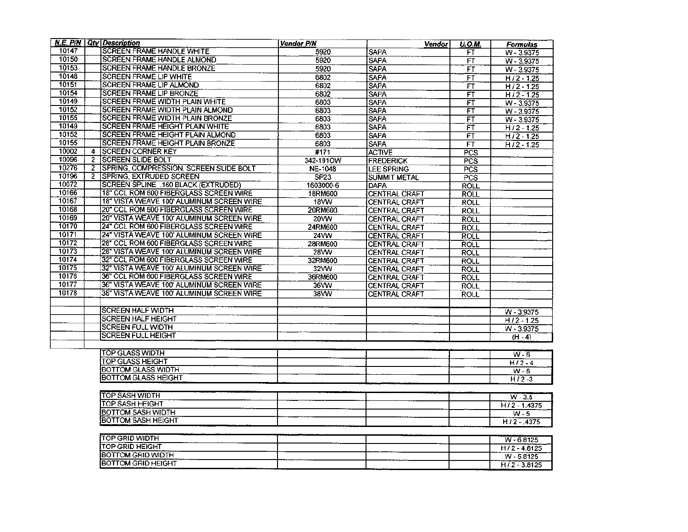|       |              | N.E. $P/N$ Qty Description                     | <b>Vendor P/N</b> | Vendor               | U.O.M.                   | Formulas                  |
|-------|--------------|------------------------------------------------|-------------------|----------------------|--------------------------|---------------------------|
| 10147 |              | <b>SCREEN FRAME HANDLE WHITE</b>               | 5920              | SAPA                 | FT                       | W-3.9375                  |
| 10150 |              | <b>SCREEN FRAME HANDLE ALMOND</b>              | 5920              | <b>SAPA</b>          | FT                       | W - 3.9375                |
| 10153 |              | <b>SCREEN FRAME HANDLE BRONZE</b>              | 5920              | <b>SAPA</b>          | FΤ                       | $W - 3.9375$              |
| 10148 |              | <b>SCREEN FRAME LIP WHITE</b>                  | 6802              | <b>SAPA</b>          | FŤ                       | $H/2 - 1.25$              |
| 10151 |              | SCREEN FRAME LIP ALMOND                        | 6802              | <b>SAPA</b>          | <b>FT</b>                | $H/2 - 1.25$              |
| 10154 |              | SCREEN FRAME LIP BRONZE                        | 6802              | <b>SAPA</b>          | $\overline{\mathsf{FT}}$ | $H/2 - 1.25$              |
| 10149 |              | SCREEN FRAME WIDTH PLAIN WHITE                 | 6803              | <b>SAPA</b>          | $\overline{\mathsf{FT}}$ | $W - 3.9375$              |
| 10152 |              | SCREEN FRAME WIDTH PLAIN ALMOND                | 6803              | <b>SAPA</b>          | FT                       | $W - 3.9375$              |
| 10155 |              | SCREEN FRAME WIDTH PLAIN BRONZE                | 6803              | <b>SAPA</b>          | FT                       | W - 3.9375                |
| 10149 |              | SCREEN FRAME HEIGHT PLAIN WHITE                | 6803              | <b>SAPA</b>          | FT                       | H/2-1.25                  |
| 10152 |              | SCREEN FRAME HEIGHT PLAIN ALMOND               | 6803              | SAPA                 | FT                       | $H/2 - 1.25$              |
| 10155 |              | SCREEN FRAME HEIGHT PLAIN BRONZE               | 6803              | <b>SAPA</b>          | FT                       | $H/2 - 1.25$              |
| 10002 | 4            | <b>ISCREEN CORNER KEY</b>                      | #171              | <b>ACTIVE</b>        | PCS                      |                           |
| 10096 | $\mathbf{2}$ | <b>ISCREEN SLIDE BOLT</b>                      | 342-191OW         | <b>FREDERICK</b>     | PCS                      |                           |
| 10276 |              | 2 SPRING, COMPRESSION, SCREEN SLIDE BOLT       | NE-1048           | LEE SPRING           | PCS                      |                           |
| 10196 | 2            | SPRING, EXTRUDED SCREEN                        | SP <sub>23</sub>  | <b>SUMMIT METAL</b>  | PCS                      |                           |
| 10072 |              | SCREEN SPLINE .160 BLACK (EXTRUDED)            | 1603000-6         | DAPA                 | <b>ROLL</b>              |                           |
| 10166 |              | 18" CCL ROM 600 FIBERGLASS SCREEN WIRE         | 18RM600           | CENTRAL CRAFT        | <b>ROLL</b>              |                           |
| 10167 |              | 18" VISTA WEAVE 100' ALUMINUM SCREEN WIRE      | <b>18VW</b>       | CENTRAL CRAFT        | <b>ROLL</b>              |                           |
| 10168 |              | 20" CCL ROM 600 FIBERGLASS SCREEN WIRE         | 20RM600           | CENTRAL CRAFT        | ROLL                     |                           |
| 10169 |              | 20" VISTA WEAVE 100' ALUMINUM SCREEN WIRE      | 20VW              | CENTRAL CRAFT        | <b>ROLL</b>              |                           |
| 10170 |              | 24" CCL ROM 600 FIBERGLASS SCREEN WIRE         | 24RM600           | <b>CENTRAL CRAFT</b> | ROLL                     |                           |
| 10171 |              | 24" VISTA WEAVE 100' ALUMINUM SCREEN WIRE      | 24VW              | CENTRAL CRAFT        | ROLL                     |                           |
| 10172 |              | 28" CCL ROM 600 FIBERGLASS SCREEN WIRE         | 28RM600           | CENTRAL CRAFT        | <b>ROLL</b>              |                           |
| 10173 |              | 28" VISTA WEAVE 100' ALUMINUM SCREEN WIRE      | 28VW              | CENTRAL CRAFT        | <b>ROLL</b>              |                           |
| 10174 |              | 32" CCL ROM 600 FIBERGLASS SCREEN WIRE         | 32RM600           | CENTRAL CRAFT        | <b>ROLL</b>              |                           |
| 10175 |              | 32" VISTA WEAVE 100' ALUMINUM SCREEN WIRE      | 32VW              | <b>CENTRAL CRAFT</b> | ROLL                     |                           |
| 10176 |              | 36" CCL ROM 600 FIBERGLASS SCREEN WIRE         | 36RM600           | CENTRAL CRAFT        | <b>ROLL</b>              |                           |
| 10177 |              | 36" VISTA WEAVE 100" ALUMINUM SCREEN WIRE      | 36WW              | <b>CENTRAL CRAFT</b> | ROLL                     |                           |
| 10178 |              | 38" VISTA WEAVE 100' ALUMINUM SCREEN WIRE      | 38VW              | <b>CENTRAL CRAFT</b> | <b>ROLL</b>              |                           |
|       |              |                                                |                   |                      |                          |                           |
|       |              | <b>SCREEN HALF WIDTH</b>                       |                   |                      |                          | W - 3.9375                |
|       |              | SCREEN HALF HEIGHT                             |                   |                      |                          | $\frac{1}{11}$ / 2 - 1.25 |
|       |              | <b>SCREEN FULL WIDTH</b>                       |                   |                      |                          | $W - 3.9375$              |
|       |              | SCREEN FULL HEIGHT                             |                   |                      |                          | $(H - 4)$                 |
|       |              |                                                |                   |                      |                          |                           |
|       |              | <b>TOP GLASS WIDTH</b>                         |                   |                      |                          | $W - 6$                   |
|       |              | TOP GLASS HEIGHT                               |                   |                      |                          | $H/2 - 4$                 |
|       |              | <b>BOTTOM GLASS WIDTH</b>                      |                   |                      |                          | W-5                       |
|       |              | <b>BOTTOM GLASS HEIGHT</b>                     |                   |                      |                          | $H/2-3$                   |
|       |              |                                                |                   |                      |                          |                           |
|       |              | TOP SASH WIDTH                                 |                   |                      |                          | $W - 3.5$                 |
|       |              | TOP SASH HEIGHT                                |                   |                      |                          | $H/2 - 1.4375$            |
|       |              | BOTTOM SASH WIDTH                              |                   |                      |                          | W - 5                     |
|       |              | <b>BOTTOM SASH HEIGHT</b>                      |                   |                      |                          | $H/2 - 4375$              |
|       |              | <b>TOP GRID WIDTH</b>                          |                   |                      |                          |                           |
|       |              |                                                |                   |                      |                          | $W - 6.8125$              |
|       |              | TOP GRID HEIGHT                                |                   |                      |                          | $H/2 - 4.8125$            |
|       |              | BOTTOM GRID WIDTH<br><b>BOTTOM GRID HEIGHT</b> |                   |                      |                          | $W - 5.8125$              |
|       |              |                                                |                   |                      |                          | $H/2 - 3.8125$            |